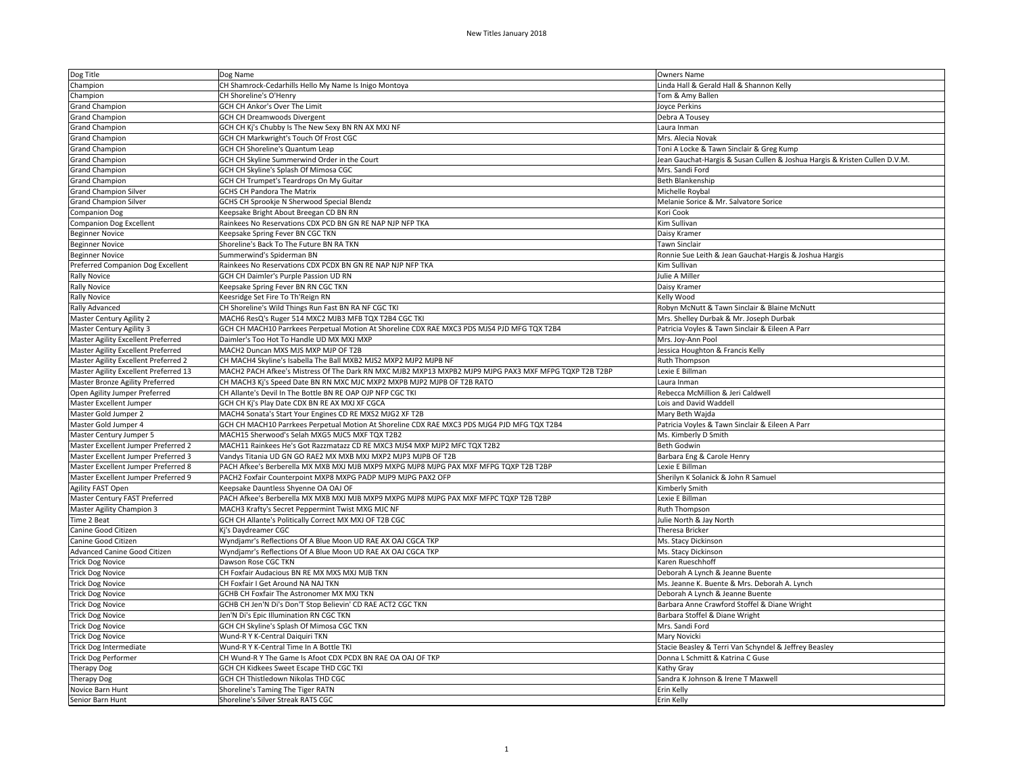| Dog Title                             | Dog Name                                                                                              | Owners Name                                                                |
|---------------------------------------|-------------------------------------------------------------------------------------------------------|----------------------------------------------------------------------------|
| Champion                              | CH Shamrock-Cedarhills Hello My Name Is Inigo Montoya                                                 | Linda Hall & Gerald Hall & Shannon Kelly                                   |
| Champion                              | CH Shoreline's O'Henry                                                                                | Tom & Amy Ballen                                                           |
| <b>Grand Champion</b>                 | GCH CH Ankor's Over The Limit                                                                         | Joyce Perkins                                                              |
| <b>Grand Champion</b>                 | <b>GCH CH Dreamwoods Divergent</b>                                                                    | Debra A Tousey                                                             |
| <b>Grand Champion</b>                 | GCH CH Kj's Chubby Is The New Sexy BN RN AX MXJ NF                                                    | Laura Inman                                                                |
| <b>Grand Champion</b>                 | GCH CH Markwright's Touch Of Frost CGC                                                                | Mrs. Alecia Novak                                                          |
| <b>Grand Champion</b>                 | GCH CH Shoreline's Quantum Leap                                                                       | Toni A Locke & Tawn Sinclair & Greg Kump                                   |
| <b>Grand Champion</b>                 | GCH CH Skyline Summerwind Order in the Court                                                          | Jean Gauchat-Hargis & Susan Cullen & Joshua Hargis & Kristen Cullen D.V.M. |
| <b>Grand Champion</b>                 | GCH CH Skyline's Splash Of Mimosa CGC                                                                 | Mrs. Sandi Ford                                                            |
| <b>Grand Champion</b>                 | GCH CH Trumpet's Teardrops On My Guitar                                                               | <b>Beth Blankenship</b>                                                    |
| <b>Grand Champion Silver</b>          | <b>GCHS CH Pandora The Matrix</b>                                                                     | Michelle Roybal                                                            |
| <b>Grand Champion Silver</b>          | GCHS CH Sprookje N Sherwood Special Blendz                                                            | Melanie Sorice & Mr. Salvatore Sorice                                      |
| <b>Companion Dog</b>                  | Keepsake Bright About Breegan CD BN RN                                                                | Kori Cook                                                                  |
| <b>Companion Dog Excellent</b>        | Rainkees No Reservations CDX PCD BN GN RE NAP NJP NFP TKA                                             | Kim Sullivan                                                               |
| <b>Beginner Novice</b>                | Keepsake Spring Fever BN CGC TKN                                                                      | Daisy Kramer                                                               |
| <b>Beginner Novice</b>                | Shoreline's Back To The Future BN RA TKN                                                              | <b>Tawn Sinclair</b>                                                       |
| Beginner Novice                       | Summerwind's Spiderman BN                                                                             | Ronnie Sue Leith & Jean Gauchat-Hargis & Joshua Hargis                     |
| Preferred Companion Dog Excellent     | Rainkees No Reservations CDX PCDX BN GN RE NAP NJP NFP TKA                                            | Kim Sullivan                                                               |
| <b>Rally Novice</b>                   | GCH CH Daimler's Purple Passion UD RN                                                                 | Julie A Miller                                                             |
| Rally Novice                          | Keepsake Spring Fever BN RN CGC TKN                                                                   | Daisy Kramer                                                               |
| <b>Rally Novice</b>                   | Keesridge Set Fire To Th'Reign RN                                                                     | Kelly Wood                                                                 |
| Rally Advanced                        | CH Shoreline's Wild Things Run Fast BN RA NF CGC TKI                                                  | Robyn McNutt & Tawn Sinclair & Blaine McNutt                               |
| Master Century Agility 2              | MACH6 ResQ's Ruger 514 MXC2 MJB3 MFB TQX T2B4 CGC TKI                                                 | Mrs. Shelley Durbak & Mr. Joseph Durbak                                    |
| Master Century Agility 3              | GCH CH MACH10 Parrkees Perpetual Motion At Shoreline CDX RAE MXC3 PDS MJS4 PJD MFG TQX T2B4           | Patricia Voyles & Tawn Sinclair & Eileen A Parr                            |
| Master Agility Excellent Preferred    | Daimler's Too Hot To Handle UD MX MXJ MXP                                                             | Mrs. Joy-Ann Pool                                                          |
| Master Agility Excellent Preferred    | MACH2 Duncan MXS MJS MXP MJP OF T2B                                                                   | Jessica Houghton & Francis Kelly                                           |
| Master Agility Excellent Preferred 2  | CH MACH4 Skyline's Isabella The Ball MXB2 MJS2 MXP2 MJP2 MJPB NF                                      | <b>Ruth Thompson</b>                                                       |
| Master Agility Excellent Preferred 13 | MACH2 PACH Afkee's Mistress Of The Dark RN MXC MJB2 MXP13 MXPB2 MJP9 MJPG PAX3 MXF MFPG TQXP T2B T2BP | Lexie E Billman                                                            |
| Master Bronze Agility Preferred       | CH MACH3 Kj's Speed Date BN RN MXC MJC MXP2 MXPB MJP2 MJPB OF T2B RATO                                | Laura Inman                                                                |
| Open Agility Jumper Preferred         | CH Allante's Devil In The Bottle BN RE OAP OJP NFP CGC TKI                                            | Rebecca McMillion & Jeri Caldwell                                          |
| Master Excellent Jumper               | GCH CH Kj's Play Date CDX BN RE AX MXJ XF CGCA                                                        | Lois and David Waddell                                                     |
| Master Gold Jumper 2                  | MACH4 Sonata's Start Your Engines CD RE MXS2 MJG2 XF T2B                                              | Mary Beth Wajda                                                            |
| Master Gold Jumper 4                  | GCH CH MACH10 Parrkees Perpetual Motion At Shoreline CDX RAE MXC3 PDS MJG4 PJD MFG TQX T2B4           | Patricia Voyles & Tawn Sinclair & Eileen A Parr                            |
| Master Century Jumper 5               | MACH15 Sherwood's Selah MXG5 MJC5 MXF TQX T2B2                                                        | Ms. Kimberly D Smith                                                       |
| Master Excellent Jumper Preferred 2   | MACH11 Rainkees He's Got Razzmatazz CD RE MXC3 MJS4 MXP MJP2 MFC TQX T2B2                             | <b>Beth Godwin</b>                                                         |
| Master Excellent Jumper Preferred 3   | Vandys Titania UD GN GO RAE2 MX MXB MXJ MXP2 MJP3 MJPB OF T2B                                         | Barbara Eng & Carole Henry                                                 |
| Master Excellent Jumper Preferred 8   | PACH Afkee's Berberella MX MXB MXJ MJB MXP9 MXPG MJP8 MJPG PAX MXF MFPG TQXP T2B T2BP                 | Lexie E Billman                                                            |
| Master Excellent Jumper Preferred 9   | PACH2 Foxfair Counterpoint MXP8 MXPG PADP MJP9 MJPG PAX2 OFP                                          | Sherilyn K Solanick & John R Samuel                                        |
| Agility FAST Open                     | Keepsake Dauntless Shyenne OA OAJ OF                                                                  | Kimberly Smith                                                             |
| Master Century FAST Preferred         | PACH Afkee's Berberella MX MXB MXJ MJB MXP9 MXPG MJP8 MJPG PAX MXF MFPC TQXP T2B T2BP                 | Lexie E Billman                                                            |
| Master Agility Champion 3             | MACH3 Krafty's Secret Peppermint Twist MXG MJC NF                                                     | <b>Ruth Thompson</b>                                                       |
| Time 2 Beat                           | GCH CH Allante's Politically Correct MX MXJ OF T2B CGC                                                | Julie North & Jay North                                                    |
| Canine Good Citizen                   | Ki's Daydreamer CGC                                                                                   | <b>Theresa Bricker</b>                                                     |
| Canine Good Citizen                   | Wyndjamr's Reflections Of A Blue Moon UD RAE AX OAJ CGCA TKP                                          | Ms. Stacy Dickinson                                                        |
| Advanced Canine Good Citizen          | Wyndjamr's Reflections Of A Blue Moon UD RAE AX OAJ CGCA TKP                                          | Ms. Stacy Dickinson                                                        |
| <b>Trick Dog Novice</b>               | Dawson Rose CGC TKN                                                                                   | Karen Rueschhoff                                                           |
| <b>Trick Dog Novice</b>               | CH Foxfair Audacious BN RE MX MXS MXJ MJB TKN                                                         | Deborah A Lynch & Jeanne Buente                                            |
| <b>Trick Dog Novice</b>               | CH Foxfair I Get Around NA NAJ TKN                                                                    | Ms. Jeanne K. Buente & Mrs. Deborah A. Lynch                               |
| <b>Trick Dog Novice</b>               | GCHB CH Foxfair The Astronomer MX MXJ TKN                                                             | Deborah A Lynch & Jeanne Buente                                            |
| <b>Trick Dog Novice</b>               | GCHB CH Jen'N Di's Don'T Stop Believin' CD RAE ACT2 CGC TKN                                           | Barbara Anne Crawford Stoffel & Diane Wright                               |
| <b>Trick Dog Novice</b>               | Jen'N Di's Epic Illumination RN CGC TKN                                                               | Barbara Stoffel & Diane Wright                                             |
| <b>Trick Dog Novice</b>               | GCH CH Skyline's Splash Of Mimosa CGC TKN                                                             | Mrs. Sandi Ford                                                            |
| <b>Trick Dog Novice</b>               | Wund-R Y K-Central Daiquiri TKN                                                                       | Mary Novicki                                                               |
| <b>Trick Dog Intermediate</b>         | Wund-R Y K-Central Time In A Bottle TKI                                                               | Stacie Beasley & Terri Van Schyndel & Jeffrey Beasley                      |
| <b>Trick Dog Performer</b>            | CH Wund-R Y The Game Is Afoot CDX PCDX BN RAE OA OAJ OF TKP                                           | Donna L Schmitt & Katrina C Guse                                           |
| <b>Therapy Dog</b>                    | GCH CH Kidkees Sweet Escape THD CGC TKI                                                               | Kathy Gray                                                                 |
| Therapy Dog                           | GCH CH Thistledown Nikolas THD CGC                                                                    | Sandra K Johnson & Irene T Maxwell                                         |
| Novice Barn Hunt                      | Shoreline's Taming The Tiger RATN                                                                     | Erin Kelly                                                                 |
| Senior Barn Hunt                      | Shoreline's Silver Streak RATS CGC                                                                    | Erin Kelly                                                                 |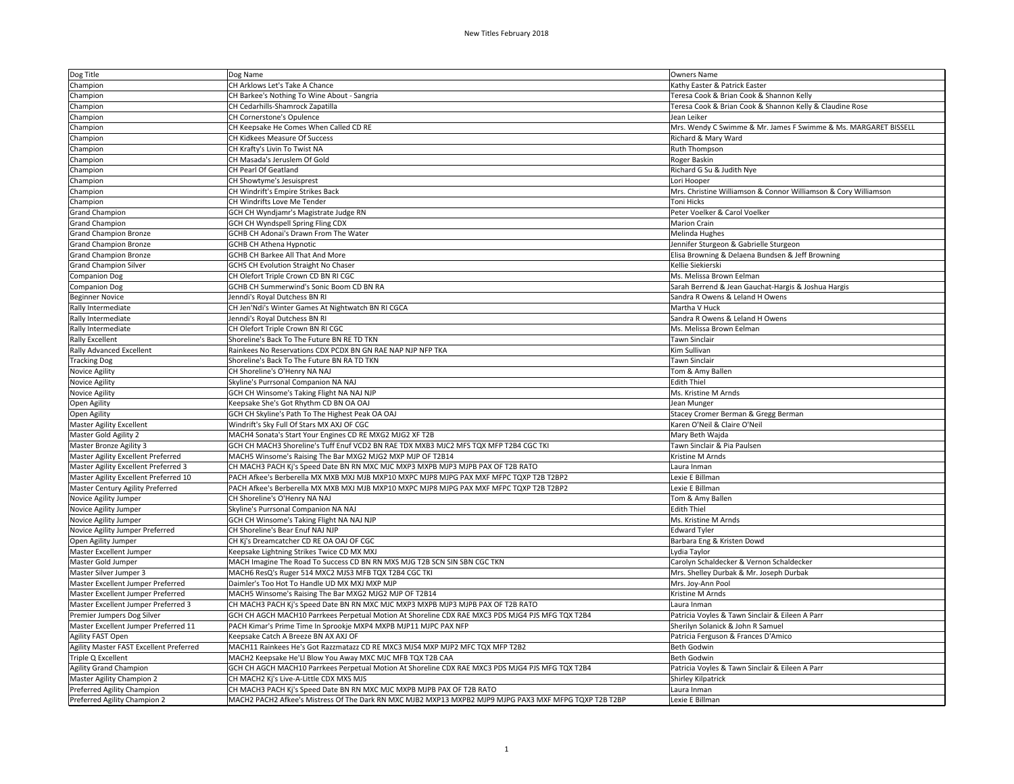| Dog Title                               | Dog Name                                                                                               | Owners Name                                                     |
|-----------------------------------------|--------------------------------------------------------------------------------------------------------|-----------------------------------------------------------------|
| Champion                                | CH Arklows Let's Take A Chance                                                                         | Kathy Easter & Patrick Easter                                   |
| Champion                                | CH Barkee's Nothing To Wine About - Sangria                                                            | Teresa Cook & Brian Cook & Shannon Kelly                        |
| Champion                                | CH Cedarhills-Shamrock Zapatilla                                                                       | Teresa Cook & Brian Cook & Shannon Kelly & Claudine Rose        |
| Champion                                | CH Cornerstone's Opulence                                                                              | Jean Leiker                                                     |
| Champion                                | CH Keepsake He Comes When Called CD RE                                                                 | Mrs. Wendy C Swimme & Mr. James F Swimme & Ms. MARGARET BISSELL |
| Champion                                | CH Kidkees Measure Of Success                                                                          | Richard & Mary Ward                                             |
| Champion                                | CH Krafty's Livin To Twist NA                                                                          | Ruth Thompson                                                   |
| Champion                                | CH Masada's Jeruslem Of Gold                                                                           | Roger Baskin                                                    |
| Champion                                | CH Pearl Of Geatland                                                                                   | Richard G Su & Judith Nye                                       |
| Champion                                | CH Showtyme's Jesuisprest                                                                              | Lori Hooper                                                     |
| Champion                                | CH Windrift's Empire Strikes Back                                                                      | Mrs. Christine Williamson & Connor Williamson & Cory Williamson |
| Champion                                | CH Windrifts Love Me Tender                                                                            | Toni Hicks                                                      |
| <b>Grand Champion</b>                   | GCH CH Wyndjamr's Magistrate Judge RN                                                                  | Peter Voelker & Carol Voelker                                   |
|                                         |                                                                                                        |                                                                 |
| <b>Grand Champion</b>                   | GCH CH Wyndspell Spring Fling CDX                                                                      | Marion Crain                                                    |
| <b>Grand Champion Bronze</b>            | GCHB CH Adonai's Drawn From The Water                                                                  | Melinda Hughes                                                  |
| <b>Grand Champion Bronze</b>            | <b>GCHB CH Athena Hypnotic</b>                                                                         | Jennifer Sturgeon & Gabrielle Sturgeon                          |
| <b>Grand Champion Bronze</b>            | <b>GCHB CH Barkee All That And More</b>                                                                | Elisa Browning & Delaena Bundsen & Jeff Browning                |
| <b>Grand Champion Silver</b>            | <b>GCHS CH Evolution Straight No Chaser</b>                                                            | Kellie Siekierski                                               |
| <b>Companion Dog</b>                    | CH Olefort Triple Crown CD BN RI CGC                                                                   | Ms. Melissa Brown Eelman                                        |
| <b>Companion Dog</b>                    | GCHB CH Summerwind's Sonic Boom CD BN RA                                                               | Sarah Berrend & Jean Gauchat-Hargis & Joshua Hargis             |
| <b>Beginner Novice</b>                  | Jenndi's Royal Dutchess BN RI                                                                          | Sandra R Owens & Leland H Owens                                 |
| Rally Intermediate                      | CH Jen'Ndi's Winter Games At Nightwatch BN RI CGCA                                                     | Martha V Huck                                                   |
| Rally Intermediate                      | Jenndi's Royal Dutchess BN RI                                                                          | Sandra R Owens & Leland H Owens                                 |
| Rally Intermediate                      | CH Olefort Triple Crown BN RI CGC                                                                      | Ms. Melissa Brown Eelman                                        |
| <b>Rally Excellent</b>                  | Shoreline's Back To The Future BN RE TD TKN                                                            | Tawn Sinclair                                                   |
| <b>Rally Advanced Excellent</b>         | Rainkees No Reservations CDX PCDX BN GN RAE NAP NJP NFP TKA                                            | Kim Sullivan                                                    |
| <b>Tracking Dog</b>                     | Shoreline's Back To The Future BN RA TD TKN                                                            | Tawn Sinclair                                                   |
| Novice Agility                          | CH Shoreline's O'Henry NA NAJ                                                                          | Tom & Amy Ballen                                                |
| Novice Agility                          | Skyline's Purrsonal Companion NA NAJ                                                                   | <b>Edith Thiel</b>                                              |
| Novice Agility                          | GCH CH Winsome's Taking Flight NA NAJ NJP                                                              | Ms. Kristine M Arnds                                            |
| Open Agility                            | Keepsake She's Got Rhythm CD BN OA OAJ                                                                 | Jean Munger                                                     |
| Open Agility                            | GCH CH Skyline's Path To The Highest Peak OA OAJ                                                       | Stacey Cromer Berman & Gregg Berman                             |
| <b>Master Agility Excellent</b>         | Windrift's Sky Full Of Stars MX AXJ OF CGC                                                             | Karen O'Neil & Claire O'Neil                                    |
| Master Gold Agility 2                   | MACH4 Sonata's Start Your Engines CD RE MXG2 MJG2 XF T2B                                               | Mary Beth Wajda                                                 |
| <b>Master Bronze Agility 3</b>          | GCH CH MACH3 Shoreline's Tuff Enuf VCD2 BN RAE TDX MXB3 MJC2 MFS TQX MFP T2B4 CGC TKI                  | Tawn Sinclair & Pia Paulsen                                     |
| Master Agility Excellent Preferred      | MACH5 Winsome's Raising The Bar MXG2 MJG2 MXP MJP OF T2B14                                             | Kristine M Arnds                                                |
| Master Agility Excellent Preferred 3    | CH MACH3 PACH Kj's Speed Date BN RN MXC MJC MXP3 MXPB MJP3 MJPB PAX OF T2B RATO                        | Laura Inman                                                     |
| Master Agility Excellent Preferred 10   | PACH Afkee's Berberella MX MXB MXJ MJB MXP10 MXPC MJP8 MJPG PAX MXF MFPC TQXP T2B T2BP2                | Lexie E Billman                                                 |
| Master Century Agility Preferred        | PACH Afkee's Berberella MX MXB MXJ MJB MXP10 MXPC MJP8 MJPG PAX MXF MFPC TQXP T2B T2BP2                | Lexie E Billman                                                 |
| Novice Agility Jumper                   | CH Shoreline's O'Henry NA NAJ                                                                          | Tom & Amy Ballen                                                |
|                                         |                                                                                                        | <b>Edith Thiel</b>                                              |
| Novice Agility Jumper                   | Skyline's Purrsonal Companion NA NAJ                                                                   |                                                                 |
| Novice Agility Jumper                   | GCH CH Winsome's Taking Flight NA NAJ NJP                                                              | Ms. Kristine M Arnds                                            |
| Novice Agility Jumper Preferred         | CH Shoreline's Bear Enuf NAJ NJP                                                                       | <b>Edward Tyler</b>                                             |
| Open Agility Jumper                     | CH Kj's Dreamcatcher CD RE OA OAJ OF CGC                                                               | Barbara Eng & Kristen Dowd                                      |
| Master Excellent Jumper                 | Keepsake Lightning Strikes Twice CD MX MXJ                                                             | Lydia Taylor                                                    |
| Master Gold Jumper                      | MACH Imagine The Road To Success CD BN RN MXS MJG T2B SCN SIN SBN CGC TKN                              | Carolyn Schaldecker & Vernon Schaldecker                        |
| Master Silver Jumper 3                  | MACH6 ResQ's Ruger 514 MXC2 MJS3 MFB TQX T2B4 CGC TKI                                                  | Mrs. Shelley Durbak & Mr. Joseph Durbak                         |
| Master Excellent Jumper Preferred       | Daimler's Too Hot To Handle UD MX MXJ MXP MJP                                                          | Mrs. Joy-Ann Pool                                               |
| Master Excellent Jumper Preferred       | MACH5 Winsome's Raising The Bar MXG2 MJG2 MJP OF T2B14                                                 | Kristine M Arnds                                                |
| Master Excellent Jumper Preferred 3     | CH MACH3 PACH Kj's Speed Date BN RN MXC MJC MXP3 MXPB MJP3 MJPB PAX OF T2B RATO                        | Laura Inman                                                     |
| Premier Jumpers Dog Silver              | GCH CH AGCH MACH10 Parrkees Perpetual Motion At Shoreline CDX RAE MXC3 PDS MJG4 PJS MFG TQX T2B4       | Patricia Voyles & Tawn Sinclair & Eileen A Parr                 |
| Master Excellent Jumper Preferred 11    | PACH Kimar's Prime Time In Sprookje MXP4 MXPB MJP11 MJPC PAX NFP                                       | Sherilyn Solanick & John R Samuel                               |
| Agility FAST Open                       | Keepsake Catch A Breeze BN AX AXJ OF                                                                   | Patricia Ferguson & Frances D'Amico                             |
| Agility Master FAST Excellent Preferred | MACH11 Rainkees He's Got Razzmatazz CD RE MXC3 MJS4 MXP MJP2 MFC TQX MFP T2B2                          | Beth Godwin                                                     |
| Triple Q Excellent                      | MACH2 Keepsake He'Ll Blow You Away MXC MJC MFB TQX T2B CAA                                             | <b>Beth Godwin</b>                                              |
| <b>Agility Grand Champion</b>           | GCH CH AGCH MACH10 Parrkees Perpetual Motion At Shoreline CDX RAE MXC3 PDS MJG4 PJS MFG TQX T2B4       | Patricia Voyles & Tawn Sinclair & Eileen A Parr                 |
| Master Agility Champion 2               | CH MACH2 Kj's Live-A-Little CDX MXS MJS                                                                | <b>Shirley Kilpatrick</b>                                       |
| Preferred Agility Champion              | CH MACH3 PACH Kj's Speed Date BN RN MXC MJC MXPB MJPB PAX OF T2B RATO                                  | Laura Inman                                                     |
| Preferred Agility Champion 2            | MACH2 PACH2 Afkee's Mistress Of The Dark RN MXC MJB2 MXP13 MXPB2 MJP9 MJPG PAX3 MXF MFPG TQXP T2B T2BP | Lexie E Billman                                                 |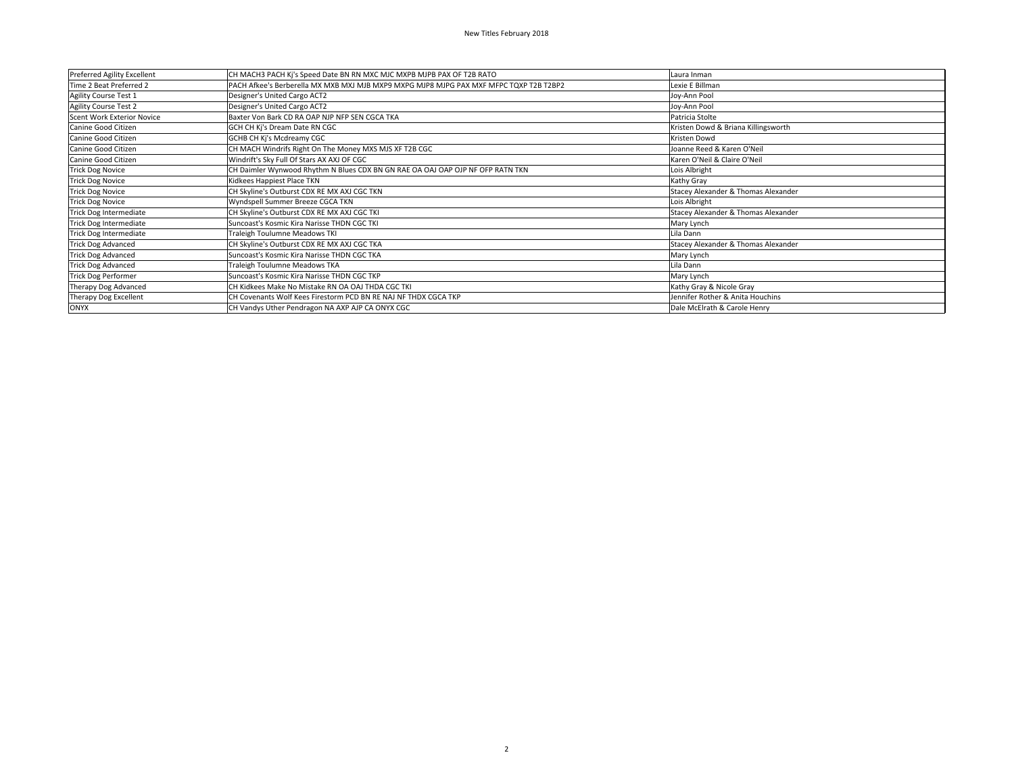| Preferred Agility Excellent       | CH MACH3 PACH Kj's Speed Date BN RN MXC MJC MXPB MJPB PAX OF T2B RATO                  | Laura Inman                         |
|-----------------------------------|----------------------------------------------------------------------------------------|-------------------------------------|
| Time 2 Beat Preferred 2           | PACH Afkee's Berberella MX MXB MXJ MJB MXP9 MXPG MJP8 MJPG PAX MXF MFPC TQXP T2B T2BP2 | Lexie E Billman                     |
| Agility Course Test 1             | Designer's United Cargo ACT2                                                           | Joy-Ann Pool                        |
| <b>Agility Course Test 2</b>      | Designer's United Cargo ACT2                                                           | Joy-Ann Pool                        |
| <b>Scent Work Exterior Novice</b> | Baxter Von Bark CD RA OAP NJP NFP SEN CGCA TKA                                         | Patricia Stolte                     |
| Canine Good Citizen               | GCH CH Ki's Dream Date RN CGC                                                          | Kristen Dowd & Briana Killingsworth |
| Canine Good Citizen               | GCHB CH Kj's Mcdreamy CGC                                                              | Kristen Dowd                        |
| Canine Good Citizen               | CH MACH Windrifs Right On The Money MXS MJS XF T2B CGC                                 | Joanne Reed & Karen O'Neil          |
| Canine Good Citizen               | Windrift's Sky Full Of Stars AX AXJ OF CGC                                             | Karen O'Neil & Claire O'Neil        |
| <b>Trick Dog Novice</b>           | CH Daimler Wynwood Rhythm N Blues CDX BN GN RAE OA OAJ OAP OJP NF OFP RATN TKN         | Lois Albright                       |
| <b>Trick Dog Novice</b>           | Kidkees Happiest Place TKN                                                             | Kathy Gray                          |
| <b>Trick Dog Novice</b>           | CH Skyline's Outburst CDX RE MX AXJ CGC TKN                                            | Stacey Alexander & Thomas Alexander |
| <b>Trick Dog Novice</b>           | Wyndspell Summer Breeze CGCA TKN                                                       | Lois Albright                       |
| <b>Trick Dog Intermediate</b>     | CH Skyline's Outburst CDX RE MX AXJ CGC TKI                                            | Stacey Alexander & Thomas Alexander |
| <b>Trick Dog Intermediate</b>     | Suncoast's Kosmic Kira Narisse THDN CGC TKI                                            | Mary Lynch                          |
| Trick Dog Intermediate            | Traleigh Toulumne Meadows TKI                                                          | Lila Dann                           |
| <b>Trick Dog Advanced</b>         | CH Skyline's Outburst CDX RE MX AXJ CGC TKA                                            | Stacey Alexander & Thomas Alexander |
| <b>Trick Dog Advanced</b>         | Suncoast's Kosmic Kira Narisse THDN CGC TKA                                            | Mary Lynch                          |
| <b>Trick Dog Advanced</b>         | Traleigh Toulumne Meadows TKA                                                          | Lila Dann                           |
| <b>Trick Dog Performer</b>        | Suncoast's Kosmic Kira Narisse THDN CGC TKP                                            | Mary Lynch                          |
| Therapy Dog Advanced              | CH Kidkees Make No Mistake RN OA OAJ THDA CGC TKI                                      | Kathy Gray & Nicole Gray            |
| Therapy Dog Excellent             | CH Covenants Wolf Kees Firestorm PCD BN RE NAJ NF THDX CGCA TKP                        | Jennifer Rother & Anita Houchins    |
| <b>ONYX</b>                       | CH Vandys Uther Pendragon NA AXP AJP CA ONYX CGC                                       | Dale McElrath & Carole Henry        |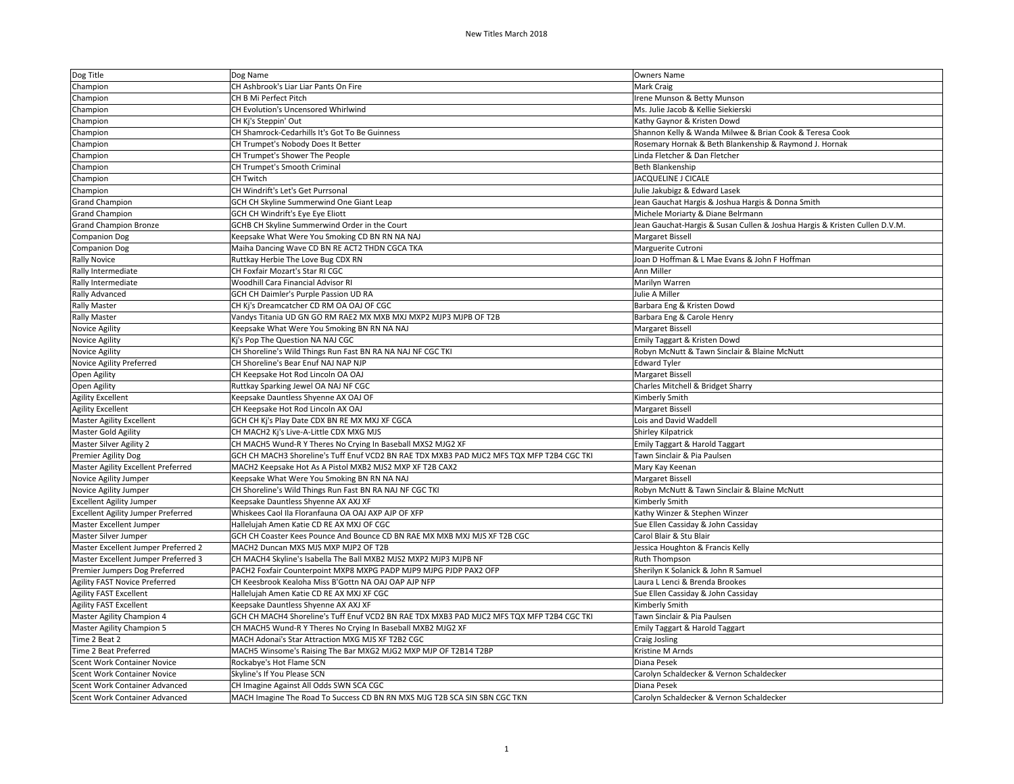| Dog Title                                                   | Dog Name                                                                                                          | <b>Owners Name</b>                                                         |  |
|-------------------------------------------------------------|-------------------------------------------------------------------------------------------------------------------|----------------------------------------------------------------------------|--|
| Champion                                                    | CH Ashbrook's Liar Liar Pants On Fire                                                                             | Mark Craig                                                                 |  |
| Champion                                                    | CH B Mi Perfect Pitch                                                                                             | Irene Munson & Betty Munson                                                |  |
| Champion                                                    | CH Evolution's Uncensored Whirlwind                                                                               | Ms. Julie Jacob & Kellie Siekierski                                        |  |
| Champion                                                    | CH Kj's Steppin' Out                                                                                              | Kathy Gaynor & Kristen Dowd                                                |  |
| Champion                                                    | CH Shamrock-Cedarhills It's Got To Be Guinness                                                                    | Shannon Kelly & Wanda Milwee & Brian Cook & Teresa Cook                    |  |
| Champion                                                    | CH Trumpet's Nobody Does It Better                                                                                | Rosemary Hornak & Beth Blankenship & Raymond J. Hornak                     |  |
| Champion                                                    | CH Trumpet's Shower The People                                                                                    | Linda Fletcher & Dan Fletcher                                              |  |
| Champion                                                    | CH Trumpet's Smooth Criminal                                                                                      | Beth Blankenship                                                           |  |
| Champion                                                    | <b>CH Twitch</b>                                                                                                  | JACQUELINE J CICALE                                                        |  |
| Champion                                                    | CH Windrift's Let's Get Purrsonal                                                                                 | Julie Jakubigz & Edward Lasek                                              |  |
| <b>Grand Champion</b>                                       | GCH CH Skyline Summerwind One Giant Leap                                                                          | Jean Gauchat Hargis & Joshua Hargis & Donna Smith                          |  |
| <b>Grand Champion</b>                                       | GCH CH Windrift's Eye Eye Eliott                                                                                  | Michele Moriarty & Diane Belrmann                                          |  |
| <b>Grand Champion Bronze</b>                                | GCHB CH Skyline Summerwind Order in the Court                                                                     | Jean Gauchat-Hargis & Susan Cullen & Joshua Hargis & Kristen Cullen D.V.M. |  |
| <b>Companion Dog</b>                                        | Keepsake What Were You Smoking CD BN RN NA NAJ                                                                    | Margaret Bissell                                                           |  |
| Companion Dog                                               | Maiha Dancing Wave CD BN RE ACT2 THDN CGCA TKA                                                                    | Marguerite Cutroni                                                         |  |
| <b>Rally Novice</b>                                         | Ruttkay Herbie The Love Bug CDX RN                                                                                | Joan D Hoffman & L Mae Evans & John F Hoffman                              |  |
| Rally Intermediate                                          | CH Foxfair Mozart's Star RI CGC                                                                                   | Ann Miller                                                                 |  |
| Rally Intermediate                                          | Woodhill Cara Financial Advisor RI                                                                                | Marilyn Warren                                                             |  |
| Rally Advanced                                              | GCH CH Daimler's Purple Passion UD RA                                                                             | Julie A Miller                                                             |  |
| <b>Rally Master</b>                                         | CH Kj's Dreamcatcher CD RM OA OAJ OF CGC                                                                          | Barbara Eng & Kristen Dowd                                                 |  |
| <b>Rally Master</b>                                         | Vandys Titania UD GN GO RM RAE2 MX MXB MXJ MXP2 MJP3 MJPB OF T2B                                                  | Barbara Eng & Carole Henry                                                 |  |
| Novice Agility                                              | Keepsake What Were You Smoking BN RN NA NAJ                                                                       | Margaret Bissell                                                           |  |
| Novice Agility                                              | Kj's Pop The Question NA NAJ CGC                                                                                  | Emily Taggart & Kristen Dowd                                               |  |
| Novice Agility                                              | CH Shoreline's Wild Things Run Fast BN RA NA NAJ NF CGC TKI                                                       | Robyn McNutt & Tawn Sinclair & Blaine McNutt                               |  |
| Novice Agility Preferred                                    | CH Shoreline's Bear Enuf NAJ NAP NJP                                                                              | <b>Edward Tyler</b>                                                        |  |
| Open Agility                                                | CH Keepsake Hot Rod Lincoln OA OAJ                                                                                | Margaret Bissell                                                           |  |
| Open Agility                                                | Ruttkay Sparking Jewel OA NAJ NF CGC                                                                              |                                                                            |  |
| <b>Agility Excellent</b>                                    | Keepsake Dauntless Shyenne AX OAJ OF                                                                              | Charles Mitchell & Bridget Sharry<br>Kimberly Smith                        |  |
| <b>Agility Excellent</b>                                    | CH Keepsake Hot Rod Lincoln AX OAJ                                                                                | Margaret Bissell                                                           |  |
| Master Agility Excellent                                    | GCH CH Kj's Play Date CDX BN RE MX MXJ XF CGCA                                                                    | Lois and David Waddell                                                     |  |
| <b>Master Gold Agility</b>                                  | CH MACH2 Kj's Live-A-Little CDX MXG MJS                                                                           | <b>Shirley Kilpatrick</b>                                                  |  |
| Master Silver Agility 2                                     | CH MACH5 Wund-R Y Theres No Crying In Baseball MXS2 MJG2 XF                                                       | Emily Taggart & Harold Taggart                                             |  |
| <b>Premier Agility Dog</b>                                  | GCH CH MACH3 Shoreline's Tuff Enuf VCD2 BN RAE TDX MXB3 PAD MJC2 MFS TQX MFP T2B4 CGC TKI                         | Tawn Sinclair & Pia Paulsen                                                |  |
| Master Agility Excellent Preferred                          | MACH2 Keepsake Hot As A Pistol MXB2 MJS2 MXP XF T2B CAX2                                                          | Mary Kay Keenan                                                            |  |
| Novice Agility Jumper                                       | Keepsake What Were You Smoking BN RN NA NAJ                                                                       | Margaret Bissell                                                           |  |
| Novice Agility Jumper                                       | CH Shoreline's Wild Things Run Fast BN RA NAJ NF CGC TKI                                                          | Robyn McNutt & Tawn Sinclair & Blaine McNutt                               |  |
|                                                             |                                                                                                                   |                                                                            |  |
| Excellent Agility Jumper                                    | Keepsake Dauntless Shyenne AX AXJ XF<br>Whiskees Caol Ila Floranfauna OA OAJ AXP AJP OF XFP                       | Kimberly Smith                                                             |  |
| <b>Excellent Agility Jumper Preferred</b>                   |                                                                                                                   | Kathy Winzer & Stephen Winzer                                              |  |
| Master Excellent Jumper                                     | Hallelujah Amen Katie CD RE AX MXJ OF CGC                                                                         | Sue Ellen Cassiday & John Cassiday                                         |  |
| Master Silver Jumper<br>Master Excellent Jumper Preferred 2 | GCH CH Coaster Kees Pounce And Bounce CD BN RAE MX MXB MXJ MJS XF T2B CGC<br>MACH2 Duncan MXS MJS MXP MJP2 OF T2B | Carol Blair & Stu Blair                                                    |  |
|                                                             |                                                                                                                   | Jessica Houghton & Francis Kelly                                           |  |
| Master Excellent Jumper Preferred 3                         | CH MACH4 Skyline's Isabella The Ball MXB2 MJS2 MXP2 MJP3 MJPB NF                                                  | Ruth Thompson                                                              |  |
| Premier Jumpers Dog Preferred                               | PACH2 Foxfair Counterpoint MXP8 MXPG PADP MJP9 MJPG PJDP PAX2 OFP                                                 | Sherilyn K Solanick & John R Samuel                                        |  |
| <b>Agility FAST Novice Preferred</b>                        | CH Keesbrook Kealoha Miss B'Gottn NA OAJ OAP AJP NFP                                                              | Laura L Lenci & Brenda Brookes                                             |  |
| <b>Agility FAST Excellent</b>                               | Hallelujah Amen Katie CD RE AX MXJ XF CGC                                                                         | Sue Ellen Cassiday & John Cassiday                                         |  |
| Agility FAST Excellent                                      | Keepsake Dauntless Shyenne AX AXJ XF                                                                              | Kimberly Smith                                                             |  |
| Master Agility Champion 4                                   | GCH CH MACH4 Shoreline's Tuff Enuf VCD2 BN RAE TDX MXB3 PAD MJC2 MFS TQX MFP T2B4 CGC TKI                         | Tawn Sinclair & Pia Paulsen                                                |  |
| Master Agility Champion 5                                   | CH MACH5 Wund-R Y Theres No Crying In Baseball MXB2 MJG2 XF                                                       | Emily Taggart & Harold Taggart                                             |  |
| Time 2 Beat 2                                               | MACH Adonai's Star Attraction MXG MJS XF T2B2 CGC                                                                 | Craig Josling                                                              |  |
| Time 2 Beat Preferred                                       | MACH5 Winsome's Raising The Bar MXG2 MJG2 MXP MJP OF T2B14 T2BP                                                   | Kristine M Arnds                                                           |  |
| Scent Work Container Novice                                 | Rockabye's Hot Flame SCN                                                                                          | Diana Pesek                                                                |  |
| <b>Scent Work Container Novice</b>                          | Skyline's If You Please SCN                                                                                       | Carolyn Schaldecker & Vernon Schaldecker                                   |  |
| Scent Work Container Advanced                               | CH Imagine Against All Odds SWN SCA CGC                                                                           | Diana Pesek                                                                |  |
| Scent Work Container Advanced                               | MACH Imagine The Road To Success CD BN RN MXS MJG T2B SCA SIN SBN CGC TKN                                         | Carolyn Schaldecker & Vernon Schaldecker                                   |  |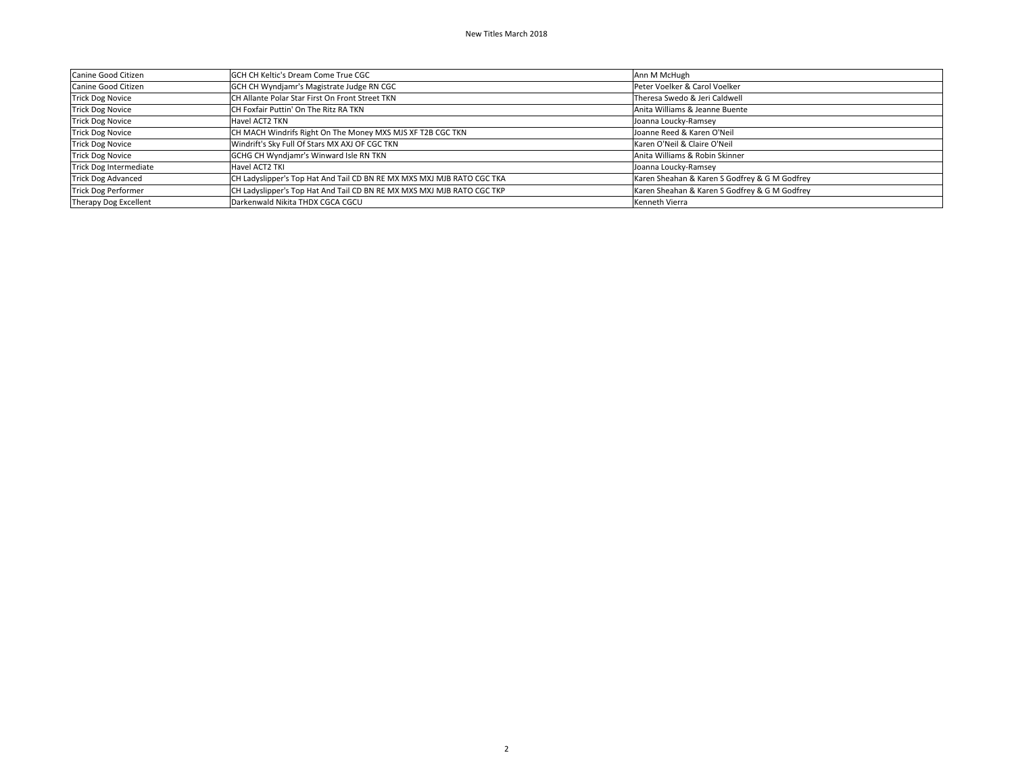| Canine Good Citizen        | GCH CH Keltic's Dream Come True CGC                                    | Ann M McHugh                                  |
|----------------------------|------------------------------------------------------------------------|-----------------------------------------------|
| Canine Good Citizen        | GCH CH Wyndjamr's Magistrate Judge RN CGC                              | Peter Voelker & Carol Voelker                 |
| <b>Trick Dog Novice</b>    | CH Allante Polar Star First On Front Street TKN                        | Theresa Swedo & Jeri Caldwell                 |
| <b>Trick Dog Novice</b>    | CH Foxfair Puttin' On The Ritz RA TKN                                  | Anita Williams & Jeanne Buente                |
| <b>Trick Dog Novice</b>    | Havel ACT2 TKN                                                         | Joanna Loucky-Ramsey                          |
| <b>Trick Dog Novice</b>    | CH MACH Windrifs Right On The Money MXS MJS XF T2B CGC TKN             | Joanne Reed & Karen O'Neil                    |
| <b>Trick Dog Novice</b>    | Windrift's Sky Full Of Stars MX AXJ OF CGC TKN                         | Karen O'Neil & Claire O'Neil                  |
| <b>Trick Dog Novice</b>    | GCHG CH Wyndjamr's Winward Isle RN TKN                                 | Anita Williams & Robin Skinner                |
| Trick Dog Intermediate     | Havel ACT2 TKI                                                         | Joanna Loucky-Ramsey                          |
| <b>Trick Dog Advanced</b>  | CH Ladyslipper's Top Hat And Tail CD BN RE MX MXS MXJ MJB RATO CGC TKA | Karen Sheahan & Karen S Godfrey & G M Godfrey |
| <b>Trick Dog Performer</b> | CH Ladyslipper's Top Hat And Tail CD BN RE MX MXS MXJ MJB RATO CGC TKP | Karen Sheahan & Karen S Godfrey & G M Godfrey |
| Therapy Dog Excellent      | Darkenwald Nikita THDX CGCA CGCU                                       | Kenneth Vierra                                |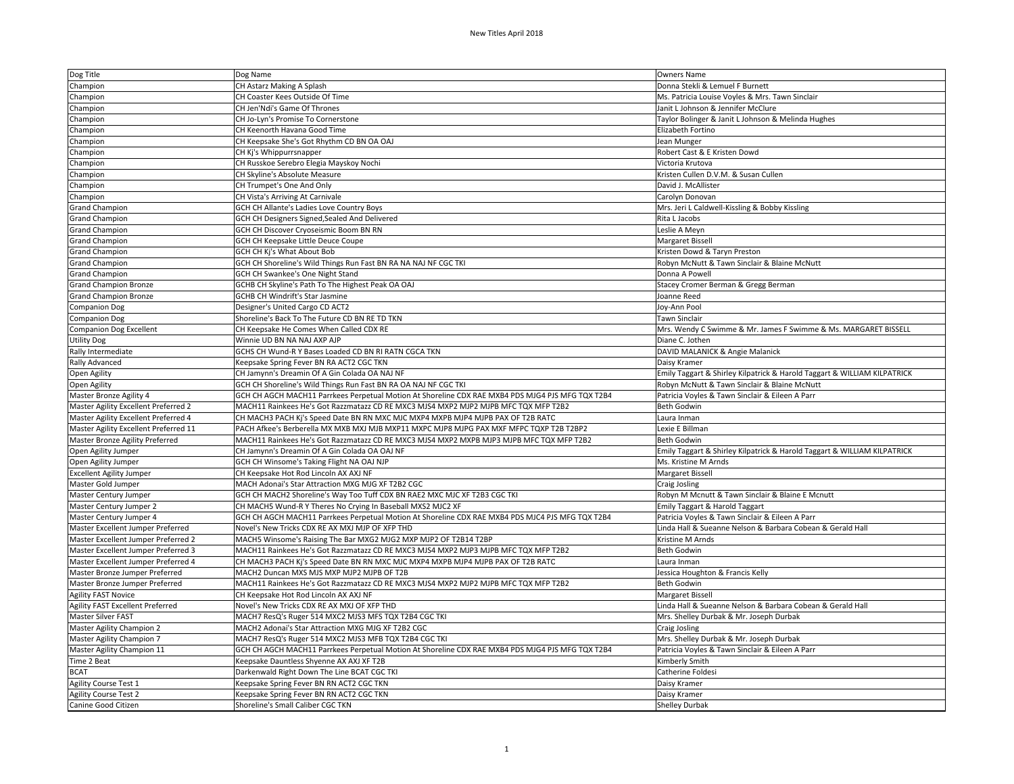| Dog Title                             | Dog Name                                                                                         | <b>Owners Name</b>                                                       |
|---------------------------------------|--------------------------------------------------------------------------------------------------|--------------------------------------------------------------------------|
| Champion                              | CH Astarz Making A Splash                                                                        | Donna Stekli & Lemuel F Burnett                                          |
| Champion                              | CH Coaster Kees Outside Of Time                                                                  | Ms. Patricia Louise Voyles & Mrs. Tawn Sinclair                          |
| Champion                              | CH Jen'Ndi's Game Of Thrones                                                                     | Janit L Johnson & Jennifer McClure                                       |
| Champion                              | CH Jo-Lyn's Promise To Cornerstone                                                               | Taylor Bolinger & Janit L Johnson & Melinda Hughes                       |
| Champion                              | CH Keenorth Havana Good Time                                                                     | Elizabeth Fortino                                                        |
| Champion                              | CH Keepsake She's Got Rhythm CD BN OA OAJ                                                        | Jean Munger                                                              |
| Champion                              | CH Kj's Whippurrsnapper                                                                          | Robert Cast & E Kristen Dowd                                             |
| Champion                              | CH Russkoe Serebro Elegia Mayskoy Nochi                                                          | Victoria Krutova                                                         |
| Champion                              | CH Skyline's Absolute Measure                                                                    | Kristen Cullen D.V.M. & Susan Cullen                                     |
| Champion                              | CH Trumpet's One And Only                                                                        | David J. McAllister                                                      |
|                                       |                                                                                                  |                                                                          |
| Champion                              | CH Vista's Arriving At Carnivale                                                                 | Carolyn Donovan                                                          |
| <b>Grand Champion</b>                 | GCH CH Allante's Ladies Love Country Boys                                                        | Mrs. Jeri L Caldwell-Kissling & Bobby Kissling                           |
| <b>Grand Champion</b>                 | GCH CH Designers Signed, Sealed And Delivered                                                    | Rita L Jacobs                                                            |
| <b>Grand Champion</b>                 | GCH CH Discover Cryoseismic Boom BN RN                                                           | Leslie A Meyn                                                            |
| <b>Grand Champion</b>                 | GCH CH Keepsake Little Deuce Coupe                                                               | <b>Margaret Bissell</b>                                                  |
| <b>Grand Champion</b>                 | GCH CH Kj's What About Bob                                                                       | Kristen Dowd & Taryn Preston                                             |
| <b>Grand Champion</b>                 | GCH CH Shoreline's Wild Things Run Fast BN RA NA NAJ NF CGC TKI                                  | Robyn McNutt & Tawn Sinclair & Blaine McNutt                             |
| <b>Grand Champion</b>                 | GCH CH Swankee's One Night Stand                                                                 | Donna A Powell                                                           |
| <b>Grand Champion Bronze</b>          | GCHB CH Skyline's Path To The Highest Peak OA OAJ                                                | Stacey Cromer Berman & Gregg Berman                                      |
| <b>Grand Champion Bronze</b>          | GCHB CH Windrift's Star Jasmine                                                                  | Joanne Reed                                                              |
| <b>Companion Dog</b>                  | Designer's United Cargo CD ACT2                                                                  | Joy-Ann Pool                                                             |
| <b>Companion Dog</b>                  | Shoreline's Back To The Future CD BN RE TD TKN                                                   | <b>Tawn Sinclair</b>                                                     |
| Companion Dog Excellent               | CH Keepsake He Comes When Called CDX RE                                                          | Mrs. Wendy C Swimme & Mr. James F Swimme & Ms. MARGARET BISSELL          |
| Utility Dog                           | Winnie UD BN NA NAJ AXP AJP                                                                      | Diane C. Jothen                                                          |
| Rally Intermediate                    | GCHS CH Wund-R Y Bases Loaded CD BN RI RATN CGCA TKN                                             | DAVID MALANICK & Angie Malanick                                          |
| Rally Advanced                        | Keepsake Spring Fever BN RA ACT2 CGC TKN                                                         | Daisy Kramer                                                             |
| Open Agility                          | CH Jamynn's Dreamin Of A Gin Colada OA NAJ NF                                                    | Emily Taggart & Shirley Kilpatrick & Harold Taggart & WILLIAM KILPATRICK |
| Open Agility                          | GCH CH Shoreline's Wild Things Run Fast BN RA OA NAJ NF CGC TKI                                  | Robyn McNutt & Tawn Sinclair & Blaine McNutt                             |
| Master Bronze Agility 4               | GCH CH AGCH MACH11 Parrkees Perpetual Motion At Shoreline CDX RAE MXB4 PDS MJG4 PJS MFG TQX T2B4 | Patricia Voyles & Tawn Sinclair & Eileen A Parr                          |
| Master Agility Excellent Preferred 2  | MACH11 Rainkees He's Got Razzmatazz CD RE MXC3 MJS4 MXP2 MJP2 MJPB MFC TQX MFP T2B2              | <b>Beth Godwin</b>                                                       |
| Master Agility Excellent Preferred 4  | CH MACH3 PACH Kj's Speed Date BN RN MXC MJC MXP4 MXPB MJP4 MJPB PAX OF T2B RATC                  | Laura Inman                                                              |
| Master Agility Excellent Preferred 11 | PACH Afkee's Berberella MX MXB MXJ MJB MXP11 MXPC MJP8 MJPG PAX MXF MFPC TQXP T2B T2BP2          | Lexie E Billman                                                          |
| Master Bronze Agility Preferred       | MACH11 Rainkees He's Got Razzmatazz CD RE MXC3 MJS4 MXP2 MXPB MJP3 MJPB MFC TQX MFP T2B2         | <b>Beth Godwin</b>                                                       |
| Open Agility Jumper                   | CH Jamynn's Dreamin Of A Gin Colada OA OAJ NF                                                    | Emily Taggart & Shirley Kilpatrick & Harold Taggart & WILLIAM KILPATRICK |
| Open Agility Jumper                   | GCH CH Winsome's Taking Flight NA OAJ NJP                                                        | Ms. Kristine M Arnds                                                     |
| Excellent Agility Jumper              | CH Keepsake Hot Rod Lincoln AX AXJ NF                                                            | Margaret Bissell                                                         |
| Master Gold Jumper                    | MACH Adonai's Star Attraction MXG MJG XF T2B2 CGC                                                | <b>Craig Josling</b>                                                     |
| Master Century Jumper                 | GCH CH MACH2 Shoreline's Way Too Tuff CDX BN RAE2 MXC MJC XF T2B3 CGC TKI                        | Robyn M Mcnutt & Tawn Sinclair & Blaine E Mcnutt                         |
| Master Century Jumper 2               | CH MACH5 Wund-R Y Theres No Crying In Baseball MXS2 MJC2 XF                                      | Emily Taggart & Harold Taggart                                           |
|                                       |                                                                                                  |                                                                          |
| Master Century Jumper 4               | GCH CH AGCH MACH11 Parrkees Perpetual Motion At Shoreline CDX RAE MXB4 PDS MJC4 PJS MFG TQX T2B4 | Patricia Voyles & Tawn Sinclair & Eileen A Parr                          |
| Master Excellent Jumper Preferred     | Novel's New Tricks CDX RE AX MXJ MJP OF XFP THD                                                  | Linda Hall & Sueanne Nelson & Barbara Cobean & Gerald Hall               |
| Master Excellent Jumper Preferred 2   | MACH5 Winsome's Raising The Bar MXG2 MJG2 MXP MJP2 OF T2B14 T2BP                                 | Kristine M Arnds                                                         |
| Master Excellent Jumper Preferred 3   | MACH11 Rainkees He's Got Razzmatazz CD RE MXC3 MJS4 MXP2 MJP3 MJPB MFC TQX MFP T2B2              | <b>Beth Godwin</b>                                                       |
| Master Excellent Jumper Preferred 4   | CH MACH3 PACH Kj's Speed Date BN RN MXC MJC MXP4 MXPB MJP4 MJPB PAX OF T2B RATC                  | Laura Inman                                                              |
| Master Bronze Jumper Preferred        | MACH2 Duncan MXS MJS MXP MJP2 MJPB OF T2B                                                        | Jessica Houghton & Francis Kelly                                         |
| Master Bronze Jumper Preferred        | MACH11 Rainkees He's Got Razzmatazz CD RE MXC3 MJS4 MXP2 MJP2 MJPB MFC TQX MFP T2B2              | <b>Beth Godwin</b>                                                       |
| <b>Agility FAST Novice</b>            | CH Keepsake Hot Rod Lincoln AX AXJ NF                                                            | <b>Margaret Bissell</b>                                                  |
| Agility FAST Excellent Preferred      | Novel's New Tricks CDX RE AX MXJ OF XFP THD                                                      | Linda Hall & Sueanne Nelson & Barbara Cobean & Gerald Hall               |
| Master Silver FAST                    | MACH7 ResQ's Ruger 514 MXC2 MJS3 MFS TQX T2B4 CGC TKI                                            | Mrs. Shelley Durbak & Mr. Joseph Durbak                                  |
| Master Agility Champion 2             | MACH2 Adonai's Star Attraction MXG MJG XF T2B2 CGC                                               | <b>Craig Josling</b>                                                     |
| Master Agility Champion 7             | MACH7 ResQ's Ruger 514 MXC2 MJS3 MFB TQX T2B4 CGC TKI                                            | Mrs. Shelley Durbak & Mr. Joseph Durbak                                  |
| Master Agility Champion 11            | GCH CH AGCH MACH11 Parrkees Perpetual Motion At Shoreline CDX RAE MXB4 PDS MJG4 PJS MFG TQX T2B4 | Patricia Voyles & Tawn Sinclair & Eileen A Parr                          |
| Time 2 Beat                           | Keepsake Dauntless Shyenne AX AXJ XF T2B                                                         | Kimberly Smith                                                           |
| <b>BCAT</b>                           | Darkenwald Right Down The Line BCAT CGC TKI                                                      | Catherine Foldesi                                                        |
| Agility Course Test 1                 | Keepsake Spring Fever BN RN ACT2 CGC TKN                                                         | Daisy Kramer                                                             |
| <b>Agility Course Test 2</b>          | Keepsake Spring Fever BN RN ACT2 CGC TKN                                                         | Daisy Kramer                                                             |
| Canine Good Citizen                   | Shoreline's Small Caliber CGC TKN                                                                | <b>Shelley Durbak</b>                                                    |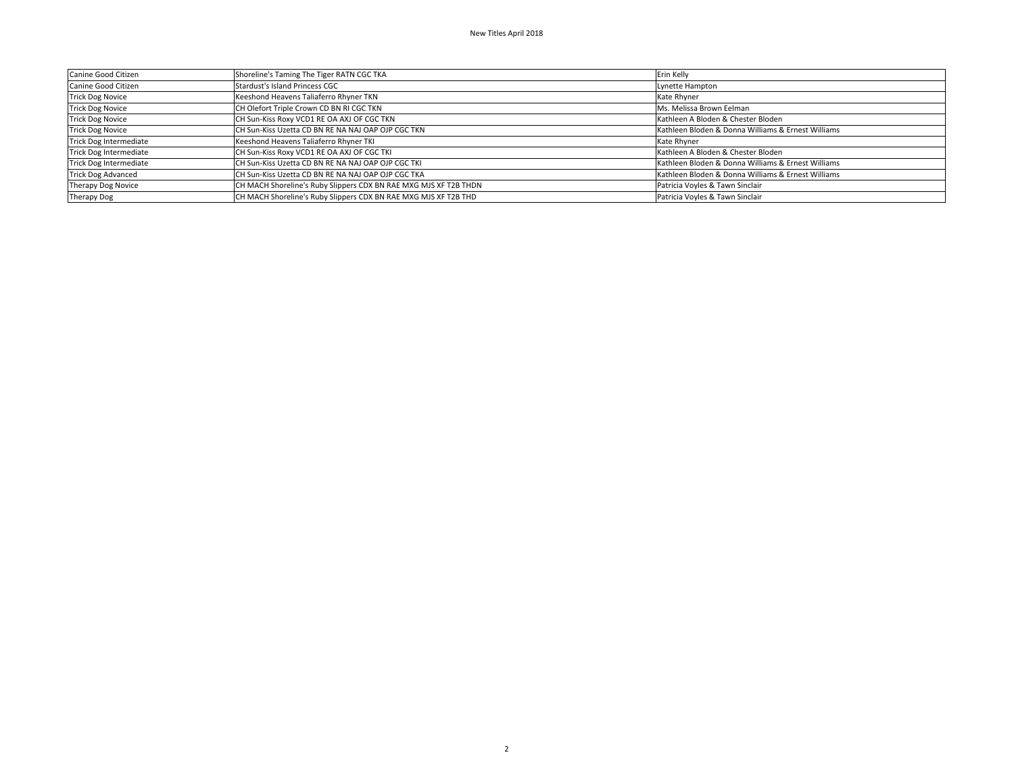| Canine Good Citizen       | Shoreline's Taming The Tiger RATN CGC TKA                        | <b>Erin Kelly</b>                                  |
|---------------------------|------------------------------------------------------------------|----------------------------------------------------|
| Canine Good Citizen       | Stardust's Island Princess CGC                                   | Lynette Hampton                                    |
| <b>Trick Dog Novice</b>   | Keeshond Heavens Taliaferro Rhyner TKN                           | Kate Rhyner                                        |
| <b>Trick Dog Novice</b>   | CH Olefort Triple Crown CD BN RI CGC TKN                         | Ms. Melissa Brown Eelman                           |
| <b>Trick Dog Novice</b>   | CH Sun-Kiss Roxy VCD1 RE OA AXJ OF CGC TKN                       | Kathleen A Bloden & Chester Bloden                 |
| <b>Trick Dog Novice</b>   | CH Sun-Kiss Uzetta CD BN RE NA NAJ OAP OJP CGC TKN               | Kathleen Bloden & Donna Williams & Ernest Williams |
| Trick Dog Intermediate    | Keeshond Heavens Taliaferro Rhyner TKI                           | Kate Rhyner                                        |
| Trick Dog Intermediate    | CH Sun-Kiss Roxy VCD1 RE OA AXJ OF CGC TKI                       | Kathleen A Bloden & Chester Bloden                 |
| Trick Dog Intermediate    | CH Sun-Kiss Uzetta CD BN RE NA NAJ OAP OJP CGC TKI               | Kathleen Bloden & Donna Williams & Ernest Williams |
| <b>Trick Dog Advanced</b> | CH Sun-Kiss Uzetta CD BN RE NA NAJ OAP OJP CGC TKA               | Kathleen Bloden & Donna Williams & Ernest Williams |
| Therapy Dog Novice        | CH MACH Shoreline's Ruby Slippers CDX BN RAE MXG MJS XF T2B THDN | Patricia Voyles & Tawn Sinclair                    |
| Therapy Dog               | CH MACH Shoreline's Ruby Slippers CDX BN RAE MXG MJS XF T2B THD  | Patricia Voyles & Tawn Sinclair                    |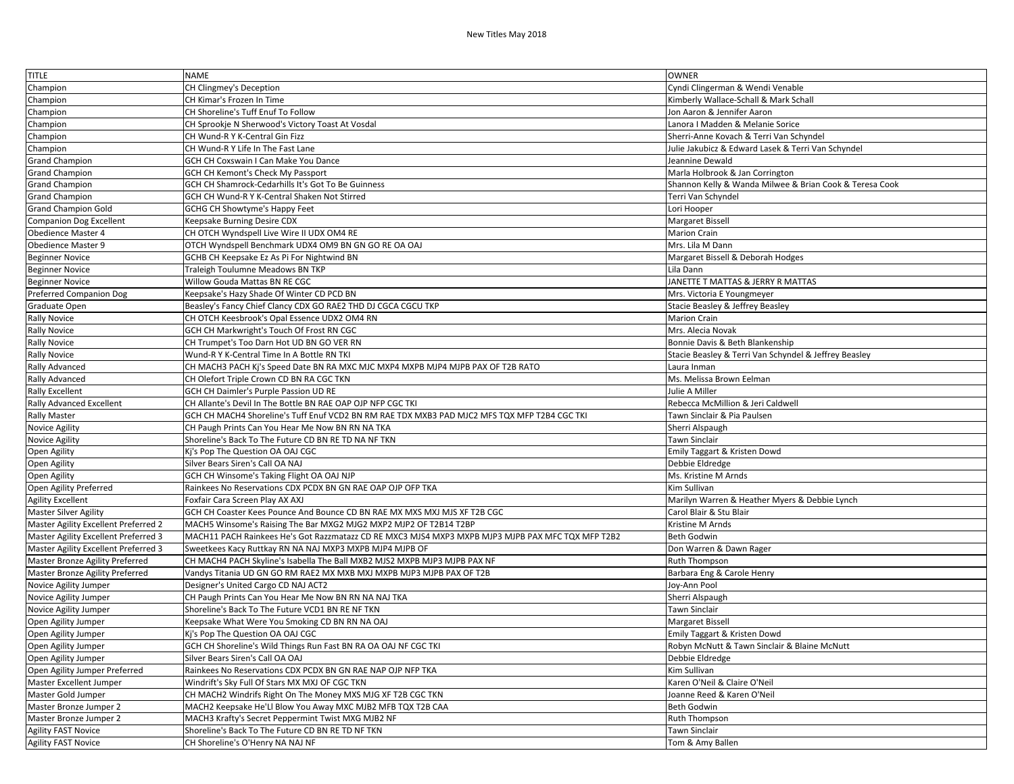| <b>TITLE</b>                                             | <b>NAME</b>                                                                                                   | <b>OWNER</b>                                            |
|----------------------------------------------------------|---------------------------------------------------------------------------------------------------------------|---------------------------------------------------------|
| Champion                                                 | CH Clingmey's Deception                                                                                       | Cyndi Clingerman & Wendi Venable                        |
| Champion                                                 | CH Kimar's Frozen In Time                                                                                     | Kimberly Wallace-Schall & Mark Schall                   |
| Champion                                                 | CH Shoreline's Tuff Enuf To Follow                                                                            | Jon Aaron & Jennifer Aaron                              |
| Champion                                                 | CH Sprookje N Sherwood's Victory Toast At Vosdal                                                              | Lanora I Madden & Melanie Sorice                        |
| Champion                                                 | CH Wund-R Y K-Central Gin Fizz                                                                                | Sherri-Anne Kovach & Terri Van Schyndel                 |
| Champion                                                 | CH Wund-R Y Life In The Fast Lane                                                                             | Julie Jakubicz & Edward Lasek & Terri Van Schyndel      |
| <b>Grand Champion</b>                                    | GCH CH Coxswain I Can Make You Dance                                                                          | Jeannine Dewald                                         |
| <b>Grand Champion</b>                                    | GCH CH Kemont's Check My Passport                                                                             | Marla Holbrook & Jan Corrington                         |
| <b>Grand Champion</b>                                    | GCH CH Shamrock-Cedarhills It's Got To Be Guinness                                                            | Shannon Kelly & Wanda Milwee & Brian Cook & Teresa Cook |
| <b>Grand Champion</b>                                    | GCH CH Wund-R Y K-Central Shaken Not Stirred                                                                  | Terri Van Schyndel                                      |
| <b>Grand Champion Gold</b>                               | GCHG CH Showtyme's Happy Feet                                                                                 | Lori Hooper                                             |
| <b>Companion Dog Excellent</b>                           | Keepsake Burning Desire CDX                                                                                   | Margaret Bissell                                        |
| Obedience Master 4                                       | CH OTCH Wyndspell Live Wire II UDX OM4 RE                                                                     | <b>Marion Crain</b>                                     |
| Obedience Master 9                                       | OTCH Wyndspell Benchmark UDX4 OM9 BN GN GO RE OA OAJ                                                          | Mrs. Lila M Dann                                        |
| <b>Beginner Novice</b>                                   | GCHB CH Keepsake Ez As Pi For Nightwind BN                                                                    | Margaret Bissell & Deborah Hodges                       |
| <b>Beginner Novice</b>                                   | Traleigh Toulumne Meadows BN TKP                                                                              | Lila Dann                                               |
| <b>Beginner Novice</b>                                   | Willow Gouda Mattas BN RE CGC                                                                                 | JANETTE T MATTAS & JERRY R MATTAS                       |
| Preferred Companion Dog                                  | Keepsake's Hazy Shade Of Winter CD PCD BN                                                                     | Mrs. Victoria E Youngmeyer                              |
| Graduate Open                                            | Beasley's Fancy Chief Clancy CDX GO RAE2 THD DJ CGCA CGCU TKP                                                 | Stacie Beasley & Jeffrey Beasley                        |
| <b>Rally Novice</b>                                      | CH OTCH Keesbrook's Opal Essence UDX2 OM4 RN                                                                  | <b>Marion Crain</b>                                     |
| <b>Rally Novice</b>                                      | GCH CH Markwright's Touch Of Frost RN CGC                                                                     | Mrs. Alecia Novak                                       |
| <b>Rally Novice</b>                                      | CH Trumpet's Too Darn Hot UD BN GO VER RN                                                                     | Bonnie Davis & Beth Blankenship                         |
| <b>Rally Novice</b>                                      | Wund-R Y K-Central Time In A Bottle RN TKI                                                                    | Stacie Beasley & Terri Van Schyndel & Jeffrey Beasley   |
| Rally Advanced                                           | CH MACH3 PACH Kj's Speed Date BN RA MXC MJC MXP4 MXPB MJP4 MJPB PAX OF T2B RATO                               | Laura Inman                                             |
| Rally Advanced                                           | CH Olefort Triple Crown CD BN RA CGC TKN                                                                      | Ms. Melissa Brown Eelman                                |
| <b>Rally Excellent</b>                                   | GCH CH Daimler's Purple Passion UD RE                                                                         | Julie A Miller                                          |
| Rally Advanced Excellent                                 | CH Allante's Devil In The Bottle BN RAE OAP OJP NFP CGC TKI                                                   | Rebecca McMillion & Jeri Caldwell                       |
| <b>Rally Master</b>                                      | GCH CH MACH4 Shoreline's Tuff Enuf VCD2 BN RM RAE TDX MXB3 PAD MJC2 MFS TQX MFP T2B4 CGC TKI                  | Tawn Sinclair & Pia Paulsen                             |
| <b>Novice Agility</b>                                    | CH Paugh Prints Can You Hear Me Now BN RN NA TKA                                                              | Sherri Alspaugh                                         |
| <b>Novice Agility</b>                                    | Shoreline's Back To The Future CD BN RE TD NA NF TKN                                                          | Tawn Sinclair                                           |
| Open Agility                                             | Kj's Pop The Question OA OAJ CGC                                                                              | Emily Taggart & Kristen Dowd                            |
| Open Agility                                             | Silver Bears Siren's Call OA NAJ                                                                              | Debbie Eldredge                                         |
| Open Agility                                             | GCH CH Winsome's Taking Flight OA OAJ NJP                                                                     | Ms. Kristine M Arnds                                    |
| Open Agility Preferred                                   | Rainkees No Reservations CDX PCDX BN GN RAE OAP OJP OFP TKA                                                   | Kim Sullivan                                            |
| <b>Agility Excellent</b>                                 | Foxfair Cara Screen Play AX AXJ                                                                               | Marilyn Warren & Heather Myers & Debbie Lynch           |
| <b>Master Silver Agility</b>                             | GCH CH Coaster Kees Pounce And Bounce CD BN RAE MX MXS MXJ MJS XF T2B CGC                                     | Carol Blair & Stu Blair                                 |
| Master Agility Excellent Preferred 2                     | MACH5 Winsome's Raising The Bar MXG2 MJG2 MXP2 MJP2 OF T2B14 T2BP                                             | Kristine M Arnds                                        |
| Master Agility Excellent Preferred 3                     | MACH11 PACH Rainkees He's Got Razzmatazz CD RE MXC3 MJS4 MXP3 MXPB MJP3 MJPB PAX MFC TQX MFP T2B2             | Beth Godwin                                             |
| Master Agility Excellent Preferred 3                     | Sweetkees Kacy Ruttkay RN NA NAJ MXP3 MXPB MJP4 MJPB OF                                                       | Don Warren & Dawn Rager                                 |
| Master Bronze Agility Preferred                          | CH MACH4 PACH Skyline's Isabella The Ball MXB2 MJS2 MXPB MJP3 MJPB PAX NF                                     | Ruth Thompson                                           |
| Master Bronze Agility Preferred                          | Vandys Titania UD GN GO RM RAE2 MX MXB MXJ MXPB MJP3 MJPB PAX OF T2B                                          | Barbara Eng & Carole Henry                              |
| Novice Agility Jumper                                    | Designer's United Cargo CD NAJ ACT2                                                                           | Joy-Ann Pool                                            |
|                                                          | CH Paugh Prints Can You Hear Me Now BN RN NA NAJ TKA                                                          | Sherri Alspaugh                                         |
| Novice Agility Jumper<br>Novice Agility Jumper           | Shoreline's Back To The Future VCD1 BN RE NF TKN                                                              | Tawn Sinclair                                           |
| Open Agility Jumper                                      | Keepsake What Were You Smoking CD BN RN NA OAJ                                                                | Margaret Bissell                                        |
| Open Agility Jumper                                      | Kj's Pop The Question OA OAJ CGC                                                                              | Emily Taggart & Kristen Dowd                            |
|                                                          |                                                                                                               | Robyn McNutt & Tawn Sinclair & Blaine McNutt            |
| Open Agility Jumper<br>Open Agility Jumper               | GCH CH Shoreline's Wild Things Run Fast BN RA OA OAJ NF CGC TKI<br>Silver Bears Siren's Call OA OAJ           | Debbie Eldredge                                         |
|                                                          |                                                                                                               | Kim Sullivan                                            |
| Open Agility Jumper Preferred<br>Master Excellent Jumper | Rainkees No Reservations CDX PCDX BN GN RAE NAP OJP NFP TKA<br>Windrift's Sky Full Of Stars MX MXJ OF CGC TKN |                                                         |
|                                                          | CH MACH2 Windrifs Right On The Money MXS MJG XF T2B CGC TKN                                                   | Karen O'Neil & Claire O'Neil                            |
| Master Gold Jumper                                       |                                                                                                               | Joanne Reed & Karen O'Neil                              |
| Master Bronze Jumper 2                                   | MACH2 Keepsake He'Ll Blow You Away MXC MJB2 MFB TQX T2B CAA                                                   | Beth Godwin                                             |
| Master Bronze Jumper 2                                   | MACH3 Krafty's Secret Peppermint Twist MXG MJB2 NF                                                            | Ruth Thompson                                           |
| <b>Agility FAST Novice</b>                               | Shoreline's Back To The Future CD BN RE TD NF TKN                                                             | Tawn Sinclair                                           |
| <b>Agility FAST Novice</b>                               | CH Shoreline's O'Henry NA NAJ NF                                                                              | Tom & Amy Ballen                                        |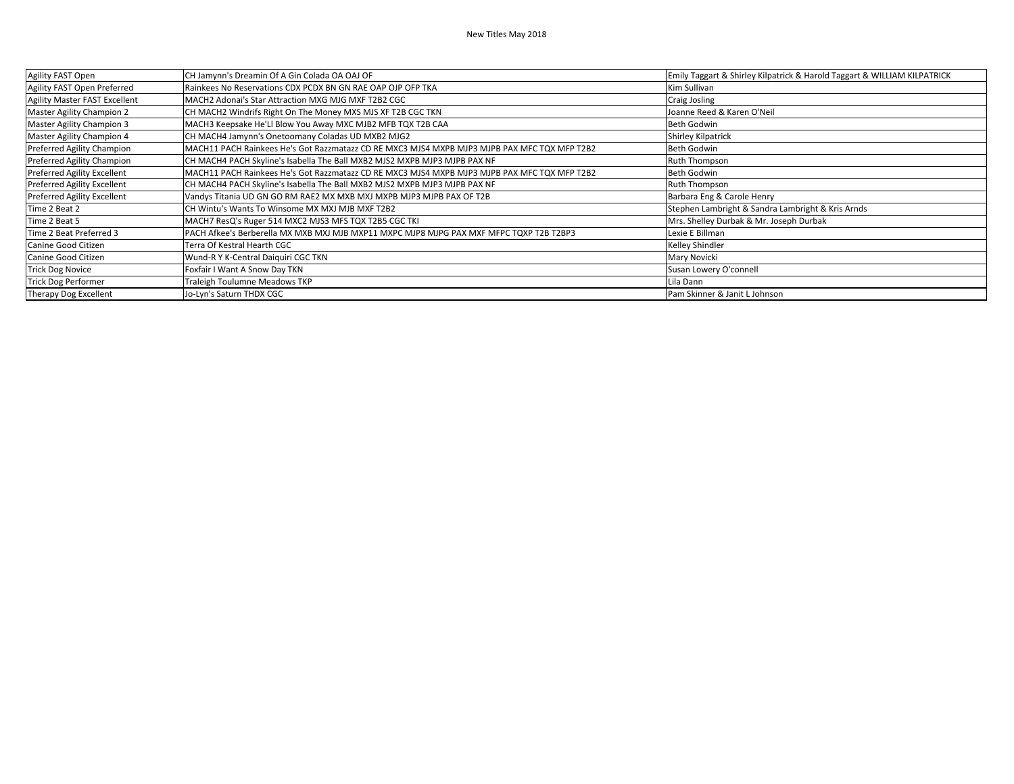| Agility FAST Open                  | CH Jamynn's Dreamin Of A Gin Colada OA OAJ OF                                                | Emily Taggart & Shirley Kilpatrick & Harold Taggart & WILLIAM KILPATRICK |
|------------------------------------|----------------------------------------------------------------------------------------------|--------------------------------------------------------------------------|
| Agility FAST Open Preferred        | Rainkees No Reservations CDX PCDX BN GN RAE OAP OJP OFP TKA                                  | Kim Sullivan                                                             |
| Agility Master FAST Excellent      | MACH2 Adonai's Star Attraction MXG MJG MXF T2B2 CGC                                          | <b>Craig Josling</b>                                                     |
| Master Agility Champion 2          | CH MACH2 Windrifs Right On The Money MXS MJS XF T2B CGC TKN                                  | Joanne Reed & Karen O'Neil                                               |
| Master Agility Champion 3          | MACH3 Keepsake He'Ll Blow You Away MXC MJB2 MFB TQX T2B CAA                                  | <b>Beth Godwin</b>                                                       |
| Master Agility Champion 4          | CH MACH4 Jamynn's Onetoomany Coladas UD MXB2 MJG2                                            | <b>Shirley Kilpatrick</b>                                                |
| Preferred Agility Champion         | MACH11 PACH Rainkees He's Got Razzmatazz CD RE MXC3 MJS4 MXPB MJP3 MJPB PAX MFC TQX MFP T2B2 | <b>Beth Godwin</b>                                                       |
| Preferred Agility Champion         | CH MACH4 PACH Skyline's Isabella The Ball MXB2 MJS2 MXPB MJP3 MJPB PAX NF                    | <b>Ruth Thompson</b>                                                     |
| <b>Preferred Agility Excellent</b> | MACH11 PACH Rainkees He's Got Razzmatazz CD RE MXC3 MJS4 MXPB MJP3 MJPB PAX MFC TQX MFP T2B2 | <b>Beth Godwin</b>                                                       |
| Preferred Agility Excellent        | CH MACH4 PACH Skyline's Isabella The Ball MXB2 MJS2 MXPB MJP3 MJPB PAX NF                    | Ruth Thompson                                                            |
| <b>Preferred Agility Excellent</b> | Vandys Titania UD GN GO RM RAE2 MX MXB MXJ MXPB MJP3 MJPB PAX OF T2B                         | Barbara Eng & Carole Henry                                               |
| Time 2 Beat 2                      | CH Wintu's Wants To Winsome MX MXJ MJB MXF T2B2                                              | Stephen Lambright & Sandra Lambright & Kris Arnds                        |
| Time 2 Beat 5                      | MACH7 ResQ's Ruger 514 MXC2 MJS3 MFS TQX T2B5 CGC TKI                                        | Mrs. Shelley Durbak & Mr. Joseph Durbak                                  |
| Time 2 Beat Preferred 3            | PACH Afkee's Berberella MX MXB MXJ MJB MXP11 MXPC MJP8 MJPG PAX MXF MFPC TQXP T2B T2BP3      | Lexie E Billman                                                          |
| Canine Good Citizen                | Terra Of Kestral Hearth CGC                                                                  | Kelley Shindler                                                          |
| Canine Good Citizen                | Wund-R Y K-Central Daiquiri CGC TKN                                                          | Mary Novicki                                                             |
| <b>Trick Dog Novice</b>            | Foxfair I Want A Snow Day TKN                                                                | Susan Lowery O'connell                                                   |
| <b>Trick Dog Performer</b>         | Traleigh Toulumne Meadows TKP                                                                | Lila Dann                                                                |
| Therapy Dog Excellent              | Jo-Lyn's Saturn THDX CGC                                                                     | Pam Skinner & Janit L Johnson                                            |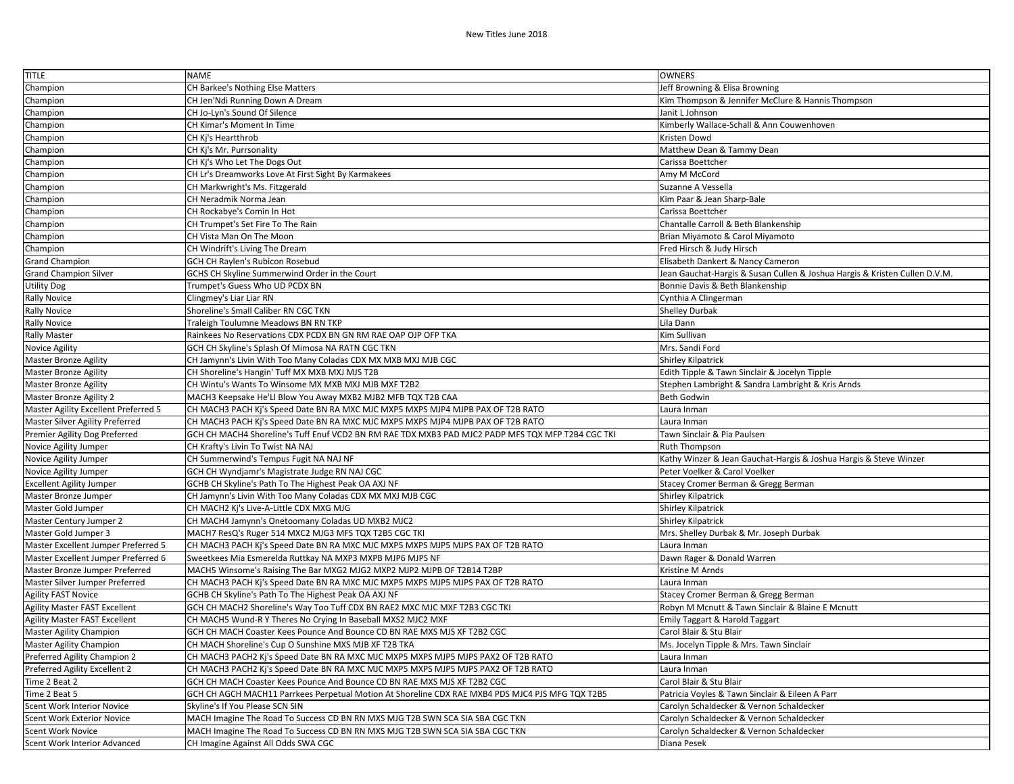| <b>TITLE</b>                         | <b>NAME</b>                                                                                       | OWNERS                                                                     |  |
|--------------------------------------|---------------------------------------------------------------------------------------------------|----------------------------------------------------------------------------|--|
| Champion                             | <b>CH Barkee's Nothing Else Matters</b>                                                           | Jeff Browning & Elisa Browning                                             |  |
| Champion                             | CH Jen'Ndi Running Down A Dream                                                                   | Kim Thompson & Jennifer McClure & Hannis Thompson                          |  |
| Champion                             | CH Jo-Lyn's Sound Of Silence                                                                      | Janit L Johnson                                                            |  |
| Champion                             | CH Kimar's Moment In Time                                                                         | Kimberly Wallace-Schall & Ann Couwenhoven                                  |  |
| Champion                             | CH Ki's Heartthrob                                                                                | Kristen Dowd                                                               |  |
| Champion                             | CH Kj's Mr. Purrsonality                                                                          | Matthew Dean & Tammy Dean                                                  |  |
| Champion                             | CH Kj's Who Let The Dogs Out                                                                      | Carissa Boettcher                                                          |  |
| Champion                             | CH Lr's Dreamworks Love At First Sight By Karmakees                                               | Amy M McCord                                                               |  |
| Champion                             | CH Markwright's Ms. Fitzgerald                                                                    | Suzanne A Vessella                                                         |  |
| Champion                             | CH Neradmik Norma Jean                                                                            | Kim Paar & Jean Sharp-Bale                                                 |  |
| Champion                             | CH Rockabye's Comin In Hot                                                                        | Carissa Boettcher                                                          |  |
| Champion                             | CH Trumpet's Set Fire To The Rain                                                                 | Chantalle Carroll & Beth Blankenship                                       |  |
| Champion                             | CH Vista Man On The Moon                                                                          | Brian Miyamoto & Carol Miyamoto                                            |  |
| Champion                             | CH Windrift's Living The Dream                                                                    | Fred Hirsch & Judy Hirsch                                                  |  |
| <b>Grand Champion</b>                | GCH CH Raylen's Rubicon Rosebud                                                                   | Elisabeth Dankert & Nancy Cameron                                          |  |
| <b>Grand Champion Silver</b>         | GCHS CH Skyline Summerwind Order in the Court                                                     | Jean Gauchat-Hargis & Susan Cullen & Joshua Hargis & Kristen Cullen D.V.M. |  |
| <b>Utility Dog</b>                   | Trumpet's Guess Who UD PCDX BN                                                                    | Bonnie Davis & Beth Blankenship                                            |  |
| <b>Rally Novice</b>                  | Clingmey's Liar Liar RN                                                                           | Cynthia A Clingerman                                                       |  |
| <b>Rally Novice</b>                  | Shoreline's Small Caliber RN CGC TKN                                                              | <b>Shelley Durbak</b>                                                      |  |
| <b>Rally Novice</b>                  | Traleigh Toulumne Meadows BN RN TKP                                                               | Lila Dann                                                                  |  |
| <b>Rally Master</b>                  | Rainkees No Reservations CDX PCDX BN GN RM RAE OAP OJP OFP TKA                                    | Kim Sullivan                                                               |  |
| <b>Novice Agility</b>                | GCH CH Skyline's Splash Of Mimosa NA RATN CGC TKN                                                 | Mrs. Sandi Ford                                                            |  |
| <b>Master Bronze Agility</b>         | CH Jamynn's Livin With Too Many Coladas CDX MX MXB MXJ MJB CGC                                    | Shirley Kilpatrick                                                         |  |
| <b>Master Bronze Agility</b>         | CH Shoreline's Hangin' Tuff MX MXB MXJ MJS T2B                                                    | Edith Tipple & Tawn Sinclair & Jocelyn Tipple                              |  |
| <b>Master Bronze Agility</b>         | CH Wintu's Wants To Winsome MX MXB MXJ MJB MXF T2B2                                               | Stephen Lambright & Sandra Lambright & Kris Arnds                          |  |
| <b>Master Bronze Agility 2</b>       | MACH3 Keepsake He'Ll Blow You Away MXB2 MJB2 MFB TQX T2B CAA                                      | <b>Beth Godwin</b>                                                         |  |
| Master Agility Excellent Preferred 5 | CH MACH3 PACH Kj's Speed Date BN RA MXC MJC MXP5 MXPS MJP4 MJPB PAX OF T2B RATO                   | Laura Inman                                                                |  |
| Master Silver Agility Preferred      | CH MACH3 PACH Kj's Speed Date BN RA MXC MJC MXP5 MXPS MJP4 MJPB PAX OF T2B RATO                   | Laura Inman                                                                |  |
| Premier Agility Dog Preferred        | GCH CH MACH4 Shoreline's Tuff Enuf VCD2 BN RM RAE TDX MXB3 PAD MJC2 PADP MFS TQX MFP T2B4 CGC TKI | Tawn Sinclair & Pia Paulsen                                                |  |
| Novice Agility Jumper                | CH Krafty's Livin To Twist NA NAJ                                                                 | Ruth Thompson                                                              |  |
| Novice Agility Jumper                | CH Summerwind's Tempus Fugit NA NAJ NF                                                            | Kathy Winzer & Jean Gauchat-Hargis & Joshua Hargis & Steve Winzer          |  |
| Novice Agility Jumper                | GCH CH Wyndjamr's Magistrate Judge RN NAJ CGC                                                     | Peter Voelker & Carol Voelker                                              |  |
| <b>Excellent Agility Jumper</b>      | GCHB CH Skyline's Path To The Highest Peak OA AXJ NF                                              | Stacey Cromer Berman & Gregg Berman                                        |  |
| Master Bronze Jumper                 | CH Jamynn's Livin With Too Many Coladas CDX MX MXJ MJB CGC                                        | <b>Shirley Kilpatrick</b>                                                  |  |
| Master Gold Jumper                   | CH MACH2 Ki's Live-A-Little CDX MXG MJG                                                           | <b>Shirley Kilpatrick</b>                                                  |  |
| Master Century Jumper 2              | CH MACH4 Jamynn's Onetoomany Coladas UD MXB2 MJC2                                                 | Shirley Kilpatrick                                                         |  |
| Master Gold Jumper 3                 | MACH7 ResQ's Ruger 514 MXC2 MJG3 MFS TQX T2B5 CGC TKI                                             | Mrs. Shelley Durbak & Mr. Joseph Durbak                                    |  |
| Master Excellent Jumper Preferred 5  | CH MACH3 PACH Kj's Speed Date BN RA MXC MJC MXP5 MXPS MJP5 MJPS PAX OF T2B RATO                   | Laura Inman                                                                |  |
| Master Excellent Jumper Preferred 6  | Sweetkees Mia Esmerelda Ruttkay NA MXP3 MXPB MJP6 MJPS NF                                         | Dawn Rager & Donald Warren                                                 |  |
| Master Bronze Jumper Preferred       | MACH5 Winsome's Raising The Bar MXG2 MJG2 MXP2 MJP2 MJPB OF T2B14 T2BP                            | Kristine M Arnds                                                           |  |
| Master Silver Jumper Preferred       | CH MACH3 PACH Kj's Speed Date BN RA MXC MJC MXP5 MXPS MJP5 MJPS PAX OF T2B RATO                   | Laura Inman                                                                |  |
| <b>Agility FAST Novice</b>           | GCHB CH Skyline's Path To The Highest Peak OA AXJ NF                                              | Stacey Cromer Berman & Gregg Berman                                        |  |
| Agility Master FAST Excellent        | GCH CH MACH2 Shoreline's Way Too Tuff CDX BN RAE2 MXC MJC MXF T2B3 CGC TKI                        | Robyn M Mcnutt & Tawn Sinclair & Blaine E Mcnutt                           |  |
| <b>Agility Master FAST Excellent</b> | CH MACH5 Wund-R Y Theres No Crying In Baseball MXS2 MJC2 MXF                                      | Emily Taggart & Harold Taggart                                             |  |
| <b>Master Agility Champion</b>       | GCH CH MACH Coaster Kees Pounce And Bounce CD BN RAE MXS MJS XF T2B2 CGC                          | Carol Blair & Stu Blair                                                    |  |
| Master Agility Champion              | CH MACH Shoreline's Cup O Sunshine MXS MJB XF T2B TKA                                             | Ms. Jocelyn Tipple & Mrs. Tawn Sinclair                                    |  |
| Preferred Agility Champion 2         | CH MACH3 PACH2 Kj's Speed Date BN RA MXC MJC MXP5 MXPS MJP5 MJPS PAX2 OF T2B RATO                 | Laura Inman                                                                |  |
| Preferred Agility Excellent 2        | CH MACH3 PACH2 Kj's Speed Date BN RA MXC MJC MXP5 MXPS MJP5 MJPS PAX2 OF T2B RATO                 | Laura Inman                                                                |  |
| Time 2 Beat 2                        | GCH CH MACH Coaster Kees Pounce And Bounce CD BN RAE MXS MJS XF T2B2 CGC                          | Carol Blair & Stu Blair                                                    |  |
| Time 2 Beat 5                        | GCH CH AGCH MACH11 Parrkees Perpetual Motion At Shoreline CDX RAE MXB4 PDS MJC4 PJS MFG TQX T2B5  | Patricia Voyles & Tawn Sinclair & Eileen A Parr                            |  |
| Scent Work Interior Novice           | Skyline's If You Please SCN SIN                                                                   | Carolyn Schaldecker & Vernon Schaldecker                                   |  |
| <b>Scent Work Exterior Novice</b>    | MACH Imagine The Road To Success CD BN RN MXS MJG T2B SWN SCA SIA SBA CGC TKN                     | Carolyn Schaldecker & Vernon Schaldecker                                   |  |
| <b>Scent Work Novice</b>             | MACH Imagine The Road To Success CD BN RN MXS MJG T2B SWN SCA SIA SBA CGC TKN                     | Carolyn Schaldecker & Vernon Schaldecker                                   |  |
| Scent Work Interior Advanced         | CH Imagine Against All Odds SWA CGC                                                               | Diana Pesek                                                                |  |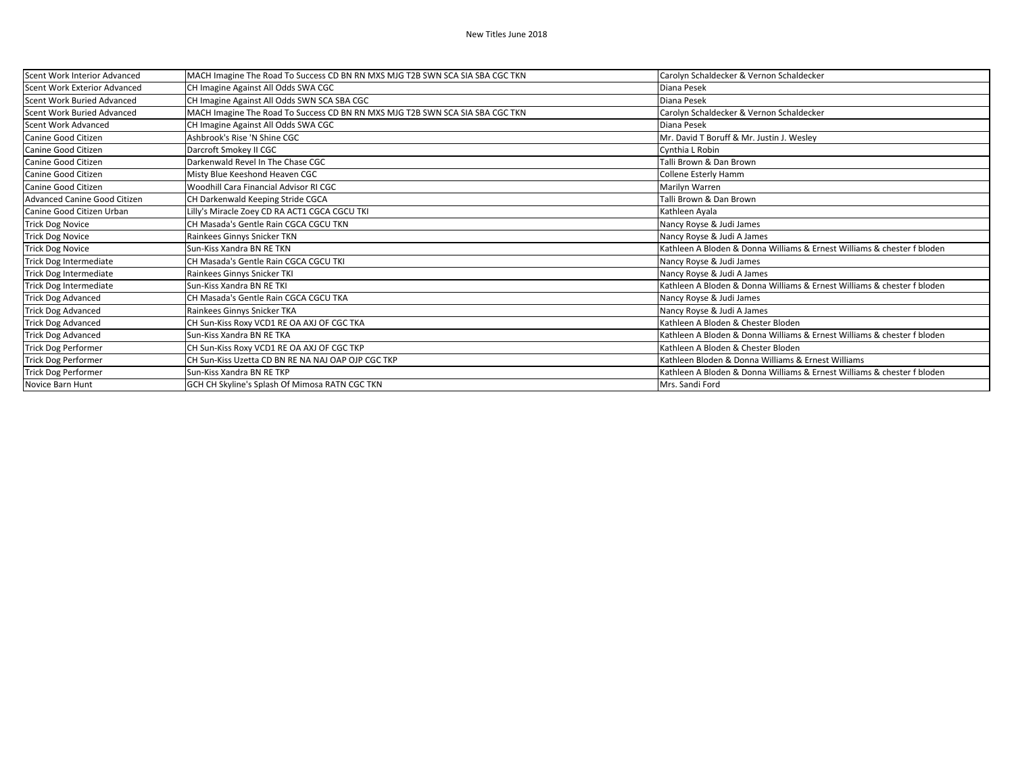| Scent Work Interior Advanced        | MACH Imagine The Road To Success CD BN RN MXS MJG T2B SWN SCA SIA SBA CGC TKN | Carolyn Schaldecker & Vernon Schaldecker                                |  |
|-------------------------------------|-------------------------------------------------------------------------------|-------------------------------------------------------------------------|--|
| <b>Scent Work Exterior Advanced</b> | CH Imagine Against All Odds SWA CGC                                           | Diana Pesek                                                             |  |
| Scent Work Buried Advanced          | CH Imagine Against All Odds SWN SCA SBA CGC                                   | Diana Pesek                                                             |  |
| <b>Scent Work Buried Advanced</b>   | MACH Imagine The Road To Success CD BN RN MXS MJG T2B SWN SCA SIA SBA CGC TKN | Carolyn Schaldecker & Vernon Schaldecker                                |  |
| <b>Scent Work Advanced</b>          | CH Imagine Against All Odds SWA CGC                                           | Diana Pesek                                                             |  |
| Canine Good Citizen                 | Ashbrook's Rise 'N Shine CGC                                                  | Mr. David T Boruff & Mr. Justin J. Wesley                               |  |
| Canine Good Citizen                 | Darcroft Smokey II CGC                                                        | Cynthia L Robin                                                         |  |
| Canine Good Citizen                 | Darkenwald Revel In The Chase CGC                                             | Talli Brown & Dan Brown                                                 |  |
| Canine Good Citizen                 | Misty Blue Keeshond Heaven CGC                                                | Collene Esterly Hamm                                                    |  |
| Canine Good Citizen                 | Woodhill Cara Financial Advisor RI CGC                                        | Marilyn Warren                                                          |  |
| Advanced Canine Good Citizen        | CH Darkenwald Keeping Stride CGCA                                             | Talli Brown & Dan Brown                                                 |  |
| Canine Good Citizen Urban           | Lilly's Miracle Zoey CD RA ACT1 CGCA CGCU TKI                                 | Kathleen Ayala                                                          |  |
| <b>Trick Dog Novice</b>             | CH Masada's Gentle Rain CGCA CGCU TKN                                         | Nancy Royse & Judi James                                                |  |
| <b>Trick Dog Novice</b>             | Rainkees Ginnys Snicker TKN                                                   | Nancy Royse & Judi A James                                              |  |
| <b>Trick Dog Novice</b>             | Sun-Kiss Xandra BN RE TKN                                                     | Kathleen A Bloden & Donna Williams & Ernest Williams & chester f bloden |  |
| Trick Dog Intermediate              | CH Masada's Gentle Rain CGCA CGCU TKI                                         | Nancy Royse & Judi James                                                |  |
| Trick Dog Intermediate              | Rainkees Ginnys Snicker TKI                                                   | Nancy Royse & Judi A James                                              |  |
| Trick Dog Intermediate              | Sun-Kiss Xandra BN RE TKI                                                     | Kathleen A Bloden & Donna Williams & Ernest Williams & chester f bloden |  |
| <b>Trick Dog Advanced</b>           | CH Masada's Gentle Rain CGCA CGCU TKA                                         | Nancy Royse & Judi James                                                |  |
| <b>Trick Dog Advanced</b>           | Rainkees Ginnys Snicker TKA                                                   | Nancy Royse & Judi A James                                              |  |
| <b>Trick Dog Advanced</b>           | CH Sun-Kiss Roxy VCD1 RE OA AXJ OF CGC TKA                                    | Kathleen A Bloden & Chester Bloden                                      |  |
| <b>Trick Dog Advanced</b>           | Sun-Kiss Xandra BN RE TKA                                                     | Kathleen A Bloden & Donna Williams & Ernest Williams & chester f bloden |  |
| <b>Trick Dog Performer</b>          | CH Sun-Kiss Roxy VCD1 RE OA AXJ OF CGC TKP                                    | Kathleen A Bloden & Chester Bloden                                      |  |
| <b>Trick Dog Performer</b>          | CH Sun-Kiss Uzetta CD BN RE NA NAJ OAP OJP CGC TKP                            | Kathleen Bloden & Donna Williams & Ernest Williams                      |  |
| Trick Dog Performer                 | Sun-Kiss Xandra BN RE TKP                                                     | Kathleen A Bloden & Donna Williams & Ernest Williams & chester f bloden |  |
| Novice Barn Hunt                    | GCH CH Skyline's Splash Of Mimosa RATN CGC TKN                                | Mrs. Sandi Ford                                                         |  |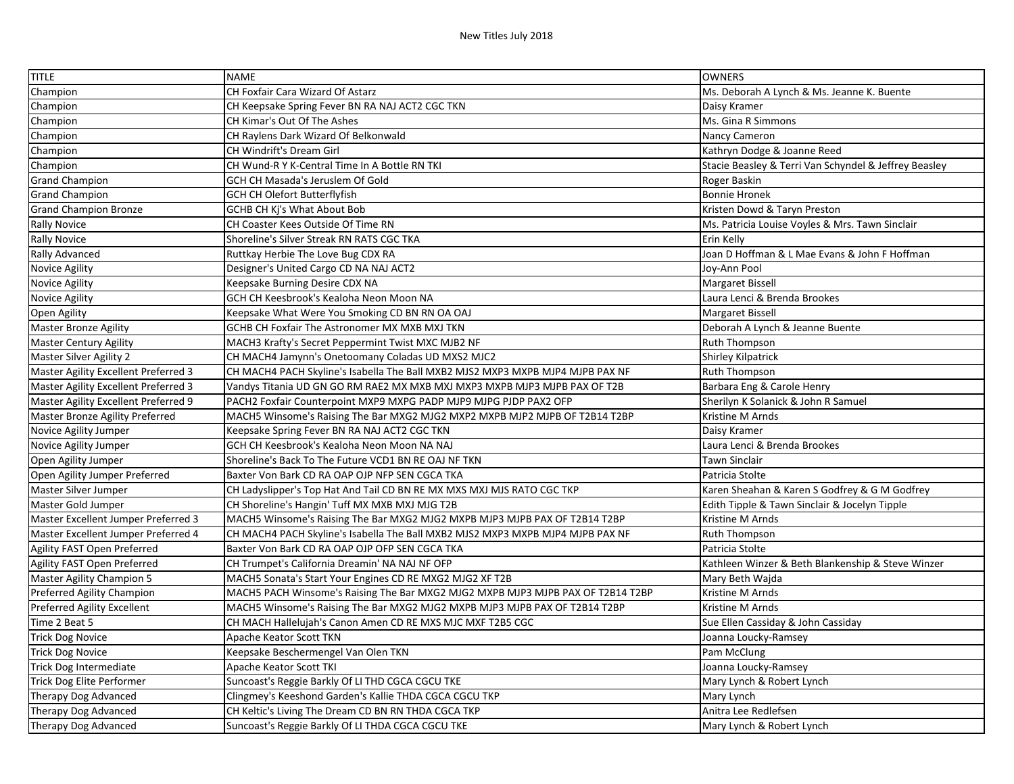| <b>TITLE</b>                         | <b>NAME</b>                                                                     | <b>OWNERS</b>                                         |
|--------------------------------------|---------------------------------------------------------------------------------|-------------------------------------------------------|
| Champion                             | CH Foxfair Cara Wizard Of Astarz                                                | Ms. Deborah A Lynch & Ms. Jeanne K. Buente            |
| Champion                             | CH Keepsake Spring Fever BN RA NAJ ACT2 CGC TKN                                 | Daisy Kramer                                          |
| Champion                             | CH Kimar's Out Of The Ashes                                                     | Ms. Gina R Simmons                                    |
| Champion                             | CH Raylens Dark Wizard Of Belkonwald                                            | Nancy Cameron                                         |
| Champion                             | CH Windrift's Dream Girl                                                        | Kathryn Dodge & Joanne Reed                           |
| Champion                             | CH Wund-R Y K-Central Time In A Bottle RN TKI                                   | Stacie Beasley & Terri Van Schyndel & Jeffrey Beasley |
| Grand Champion                       | GCH CH Masada's Jeruslem Of Gold                                                | Roger Baskin                                          |
| <b>Grand Champion</b>                | <b>GCH CH Olefort Butterflyfish</b>                                             | <b>Bonnie Hronek</b>                                  |
| <b>Grand Champion Bronze</b>         | GCHB CH Kj's What About Bob                                                     | Kristen Dowd & Taryn Preston                          |
| <b>Rally Novice</b>                  | CH Coaster Kees Outside Of Time RN                                              | Ms. Patricia Louise Voyles & Mrs. Tawn Sinclair       |
| <b>Rally Novice</b>                  | Shoreline's Silver Streak RN RATS CGC TKA                                       | Erin Kelly                                            |
| <b>Rally Advanced</b>                | Ruttkay Herbie The Love Bug CDX RA                                              | Joan D Hoffman & L Mae Evans & John F Hoffman         |
| Novice Agility                       | Designer's United Cargo CD NA NAJ ACT2                                          | Joy-Ann Pool                                          |
| Novice Agility                       | Keepsake Burning Desire CDX NA                                                  | Margaret Bissell                                      |
| Novice Agility                       | GCH CH Keesbrook's Kealoha Neon Moon NA                                         | Laura Lenci & Brenda Brookes                          |
| Open Agility                         | Keepsake What Were You Smoking CD BN RN OA OAJ                                  | <b>Margaret Bissell</b>                               |
| <b>Master Bronze Agility</b>         | GCHB CH Foxfair The Astronomer MX MXB MXJ TKN                                   | Deborah A Lynch & Jeanne Buente                       |
| <b>Master Century Agility</b>        | MACH3 Krafty's Secret Peppermint Twist MXC MJB2 NF                              | <b>Ruth Thompson</b>                                  |
| Master Silver Agility 2              | CH MACH4 Jamynn's Onetoomany Coladas UD MXS2 MJC2                               | <b>Shirley Kilpatrick</b>                             |
| Master Agility Excellent Preferred 3 | CH MACH4 PACH Skyline's Isabella The Ball MXB2 MJS2 MXP3 MXPB MJP4 MJPB PAX NF  | Ruth Thompson                                         |
| Master Agility Excellent Preferred 3 | Vandys Titania UD GN GO RM RAE2 MX MXB MXJ MXP3 MXPB MJP3 MJPB PAX OF T2B       | Barbara Eng & Carole Henry                            |
| Master Agility Excellent Preferred 9 | PACH2 Foxfair Counterpoint MXP9 MXPG PADP MJP9 MJPG PJDP PAX2 OFP               | Sherilyn K Solanick & John R Samuel                   |
| Master Bronze Agility Preferred      | MACH5 Winsome's Raising The Bar MXG2 MJG2 MXP2 MXPB MJP2 MJPB OF T2B14 T2BP     | Kristine M Arnds                                      |
| Novice Agility Jumper                | Keepsake Spring Fever BN RA NAJ ACT2 CGC TKN                                    | Daisy Kramer                                          |
| Novice Agility Jumper                | GCH CH Keesbrook's Kealoha Neon Moon NA NAJ                                     | Laura Lenci & Brenda Brookes                          |
| Open Agility Jumper                  | Shoreline's Back To The Future VCD1 BN RE OAJ NF TKN                            | Tawn Sinclair                                         |
| Open Agility Jumper Preferred        | Baxter Von Bark CD RA OAP OJP NFP SEN CGCA TKA                                  | Patricia Stolte                                       |
| Master Silver Jumper                 | CH Ladyslipper's Top Hat And Tail CD BN RE MX MXS MXJ MJS RATO CGC TKP          | Karen Sheahan & Karen S Godfrey & G M Godfrey         |
| Master Gold Jumper                   | CH Shoreline's Hangin' Tuff MX MXB MXJ MJG T2B                                  | Edith Tipple & Tawn Sinclair & Jocelyn Tipple         |
| Master Excellent Jumper Preferred 3  | MACH5 Winsome's Raising The Bar MXG2 MJG2 MXPB MJP3 MJPB PAX OF T2B14 T2BP      | Kristine M Arnds                                      |
| Master Excellent Jumper Preferred 4  | CH MACH4 PACH Skyline's Isabella The Ball MXB2 MJS2 MXP3 MXPB MJP4 MJPB PAX NF  | Ruth Thompson                                         |
| Agility FAST Open Preferred          | Baxter Von Bark CD RA OAP OJP OFP SEN CGCA TKA                                  | Patricia Stolte                                       |
| <b>Agility FAST Open Preferred</b>   | CH Trumpet's California Dreamin' NA NAJ NF OFP                                  | Kathleen Winzer & Beth Blankenship & Steve Winzer     |
| <b>Master Agility Champion 5</b>     | MACH5 Sonata's Start Your Engines CD RE MXG2 MJG2 XF T2B                        | Mary Beth Wajda                                       |
| Preferred Agility Champion           | MACH5 PACH Winsome's Raising The Bar MXG2 MJG2 MXPB MJP3 MJPB PAX OF T2B14 T2BP | Kristine M Arnds                                      |
| Preferred Agility Excellent          | MACH5 Winsome's Raising The Bar MXG2 MJG2 MXPB MJP3 MJPB PAX OF T2B14 T2BP      | Kristine M Arnds                                      |
| Time 2 Beat 5                        | CH MACH Hallelujah's Canon Amen CD RE MXS MJC MXF T2B5 CGC                      | Sue Ellen Cassiday & John Cassiday                    |
| <b>Trick Dog Novice</b>              | Apache Keator Scott TKN                                                         | Joanna Loucky-Ramsey                                  |
| <b>Trick Dog Novice</b>              | Keepsake Beschermengel Van Olen TKN                                             | Pam McClung                                           |
| Trick Dog Intermediate               | Apache Keator Scott TKI                                                         | Joanna Loucky-Ramsey                                  |
| Trick Dog Elite Performer            | Suncoast's Reggie Barkly Of LI THD CGCA CGCU TKE                                | Mary Lynch & Robert Lynch                             |
| Therapy Dog Advanced                 | Clingmey's Keeshond Garden's Kallie THDA CGCA CGCU TKP                          | Mary Lynch                                            |
| Therapy Dog Advanced                 | CH Keltic's Living The Dream CD BN RN THDA CGCA TKP                             | Anitra Lee Redlefsen                                  |
| Therapy Dog Advanced                 | Suncoast's Reggie Barkly Of LI THDA CGCA CGCU TKE                               | Mary Lynch & Robert Lynch                             |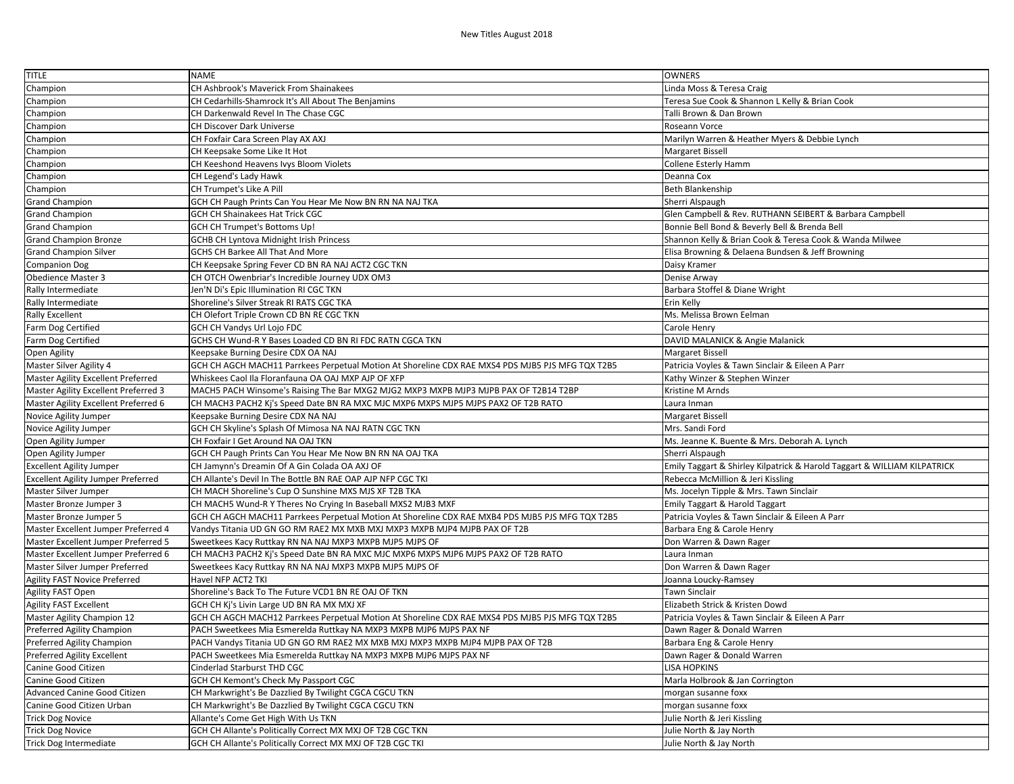| <b>TITLE</b>                                      | <b>NAME</b>                                                                                                              | <b>OWNERS</b>                                                            |
|---------------------------------------------------|--------------------------------------------------------------------------------------------------------------------------|--------------------------------------------------------------------------|
| Champion                                          | CH Ashbrook's Maverick From Shainakees                                                                                   | Linda Moss & Teresa Craig                                                |
| Champion                                          | CH Cedarhills-Shamrock It's All About The Benjamins                                                                      | Teresa Sue Cook & Shannon L Kelly & Brian Cook                           |
| Champion                                          | CH Darkenwald Revel In The Chase CGC                                                                                     | Talli Brown & Dan Brown                                                  |
| Champion                                          | CH Discover Dark Universe                                                                                                | Roseann Vorce                                                            |
| Champion                                          | CH Foxfair Cara Screen Play AX AXJ                                                                                       | Marilyn Warren & Heather Myers & Debbie Lynch                            |
| Champion                                          | CH Keepsake Some Like It Hot                                                                                             | <b>Margaret Bissell</b>                                                  |
| Champion                                          | CH Keeshond Heavens Ivys Bloom Violets                                                                                   | Collene Esterly Hamm                                                     |
| Champion                                          | CH Legend's Lady Hawk                                                                                                    | Deanna Cox                                                               |
| Champion                                          | CH Trumpet's Like A Pill                                                                                                 | <b>Beth Blankenship</b>                                                  |
| <b>Grand Champion</b>                             | GCH CH Paugh Prints Can You Hear Me Now BN RN NA NAJ TKA                                                                 | Sherri Alspaugh                                                          |
| <b>Grand Champion</b>                             | GCH CH Shainakees Hat Trick CGC                                                                                          | Glen Campbell & Rev. RUTHANN SEIBERT & Barbara Campbell                  |
| <b>Grand Champion</b>                             | <b>GCH CH Trumpet's Bottoms Up!</b>                                                                                      | Bonnie Bell Bond & Beverly Bell & Brenda Bell                            |
| <b>Grand Champion Bronze</b>                      | <b>GCHB CH Lyntova Midnight Irish Princess</b>                                                                           | Shannon Kelly & Brian Cook & Teresa Cook & Wanda Milwee                  |
| <b>Grand Champion Silver</b>                      | <b>GCHS CH Barkee All That And More</b>                                                                                  | Elisa Browning & Delaena Bundsen & Jeff Browning                         |
| <b>Companion Dog</b>                              | CH Keepsake Spring Fever CD BN RA NAJ ACT2 CGC TKN                                                                       | Daisy Kramer                                                             |
| <b>Obedience Master 3</b>                         | CH OTCH Owenbriar's Incredible Journey UDX OM3                                                                           | Denise Arway                                                             |
| Rally Intermediate                                | Jen'N Di's Epic Illumination RI CGC TKN                                                                                  | Barbara Stoffel & Diane Wright                                           |
| Rally Intermediate                                | Shoreline's Silver Streak RI RATS CGC TKA                                                                                | Erin Kelly                                                               |
| <b>Rally Excellent</b>                            | CH Olefort Triple Crown CD BN RE CGC TKN                                                                                 | Ms. Melissa Brown Eelman                                                 |
| Farm Dog Certified                                | GCH CH Vandys Url Lojo FDC                                                                                               | Carole Henry                                                             |
| Farm Dog Certified                                | GCHS CH Wund-R Y Bases Loaded CD BN RI FDC RATN CGCA TKN                                                                 | DAVID MALANICK & Angie Malanick                                          |
| Open Agility                                      | Keepsake Burning Desire CDX OA NAJ                                                                                       | Margaret Bissell                                                         |
| Master Silver Agility 4                           | GCH CH AGCH MACH11 Parrkees Perpetual Motion At Shoreline CDX RAE MXS4 PDS MJB5 PJS MFG TQX T2B5                         | Patricia Voyles & Tawn Sinclair & Eileen A Parr                          |
| Master Agility Excellent Preferred                | Whiskees Caol Ila Floranfauna OA OAJ MXP AJP OF XFP                                                                      | Kathy Winzer & Stephen Winzer                                            |
| Master Agility Excellent Preferred 3              | MACH5 PACH Winsome's Raising The Bar MXG2 MJG2 MXP3 MXPB MJP3 MJPB PAX OF T2B14 T2BP                                     | Kristine M Arnds                                                         |
| Master Agility Excellent Preferred 6              | CH MACH3 PACH2 Kj's Speed Date BN RA MXC MJC MXP6 MXPS MJP5 MJPS PAX2 OF T2B RATO                                        | Laura Inman                                                              |
|                                                   |                                                                                                                          |                                                                          |
|                                                   |                                                                                                                          |                                                                          |
| Novice Agility Jumper                             | Keepsake Burning Desire CDX NA NAJ                                                                                       | <b>Margaret Bissell</b>                                                  |
| Novice Agility Jumper                             | GCH CH Skyline's Splash Of Mimosa NA NAJ RATN CGC TKN                                                                    | Mrs. Sandi Ford                                                          |
| Open Agility Jumper                               | CH Foxfair I Get Around NA OAJ TKN                                                                                       | Ms. Jeanne K. Buente & Mrs. Deborah A. Lynch                             |
| Open Agility Jumper                               | GCH CH Paugh Prints Can You Hear Me Now BN RN NA OAJ TKA                                                                 | Sherri Alspaugh                                                          |
| <b>Excellent Agility Jumper</b>                   | CH Jamynn's Dreamin Of A Gin Colada OA AXJ OF                                                                            | Emily Taggart & Shirley Kilpatrick & Harold Taggart & WILLIAM KILPATRICK |
| <b>Excellent Agility Jumper Preferred</b>         | CH Allante's Devil In The Bottle BN RAE OAP AJP NFP CGC TKI                                                              | Rebecca McMillion & Jeri Kissling                                        |
| Master Silver Jumper                              | CH MACH Shoreline's Cup O Sunshine MXS MJS XF T2B TKA                                                                    | Ms. Jocelyn Tipple & Mrs. Tawn Sinclair                                  |
| Master Bronze Jumper 3                            | CH MACH5 Wund-R Y Theres No Crying In Baseball MXS2 MJB3 MXF                                                             | Emily Taggart & Harold Taggart                                           |
| Master Bronze Jumper 5                            | GCH CH AGCH MACH11 Parrkees Perpetual Motion At Shoreline CDX RAE MXB4 PDS MJB5 PJS MFG TQX T2B5                         | Patricia Voyles & Tawn Sinclair & Eileen A Parr                          |
| Master Excellent Jumper Preferred 4               | Vandys Titania UD GN GO RM RAE2 MX MXB MXJ MXP3 MXPB MJP4 MJPB PAX OF T2B                                                | Barbara Eng & Carole Henry                                               |
| Master Excellent Jumper Preferred 5               | Sweetkees Kacy Ruttkay RN NA NAJ MXP3 MXPB MJP5 MJPS OF                                                                  | Don Warren & Dawn Rager                                                  |
| Master Excellent Jumper Preferred 6               | CH MACH3 PACH2 Kj's Speed Date BN RA MXC MJC MXP6 MXPS MJP6 MJPS PAX2 OF T2B RATO                                        | Laura Inman                                                              |
| Master Silver Jumper Preferred                    | Sweetkees Kacy Ruttkay RN NA NAJ MXP3 MXPB MJP5 MJPS OF                                                                  | Don Warren & Dawn Rager                                                  |
| Agility FAST Novice Preferred                     | Havel NFP ACT2 TKI                                                                                                       | Joanna Loucky-Ramsey                                                     |
| Agility FAST Open                                 | Shoreline's Back To The Future VCD1 BN RE OAJ OF TKN                                                                     | <b>Tawn Sinclair</b>                                                     |
| <b>Agility FAST Excellent</b>                     | GCH CH Kj's Livin Large UD BN RA MX MXJ XF                                                                               | Elizabeth Strick & Kristen Dowd                                          |
| Master Agility Champion 12                        | GCH CH AGCH MACH12 Parrkees Perpetual Motion At Shoreline CDX RAE MXS4 PDS MJB5 PJS MFG TQX T2B5                         | Patricia Voyles & Tawn Sinclair & Eileen A Parr                          |
| Preferred Agility Champion                        | PACH Sweetkees Mia Esmerelda Ruttkay NA MXP3 MXPB MJP6 MJPS PAX NF                                                       | Dawn Rager & Donald Warren                                               |
| Preferred Agility Champion                        | PACH Vandys Titania UD GN GO RM RAE2 MX MXB MXJ MXP3 MXPB MJP4 MJPB PAX OF T2B                                           | Barbara Eng & Carole Henry                                               |
| Preferred Agility Excellent                       | PACH Sweetkees Mia Esmerelda Ruttkay NA MXP3 MXPB MJP6 MJPS PAX NF                                                       | Dawn Rager & Donald Warren                                               |
| Canine Good Citizen                               | Cinderlad Starburst THD CGC                                                                                              | <b>LISA HOPKINS</b>                                                      |
| Canine Good Citizen                               | GCH CH Kemont's Check My Passport CGC                                                                                    | Marla Holbrook & Jan Corrington                                          |
| Advanced Canine Good Citizen                      | CH Markwright's Be Dazzlied By Twilight CGCA CGCU TKN                                                                    | morgan susanne foxx                                                      |
| Canine Good Citizen Urban                         | CH Markwright's Be Dazzlied By Twilight CGCA CGCU TKN                                                                    | morgan susanne foxx                                                      |
| <b>Trick Dog Novice</b>                           | Allante's Come Get High With Us TKN                                                                                      | Julie North & Jeri Kissling                                              |
| <b>Trick Dog Novice</b><br>Trick Dog Intermediate | GCH CH Allante's Politically Correct MX MXJ OF T2B CGC TKN<br>GCH CH Allante's Politically Correct MX MXJ OF T2B CGC TKI | Julie North & Jay North<br>Julie North & Jay North                       |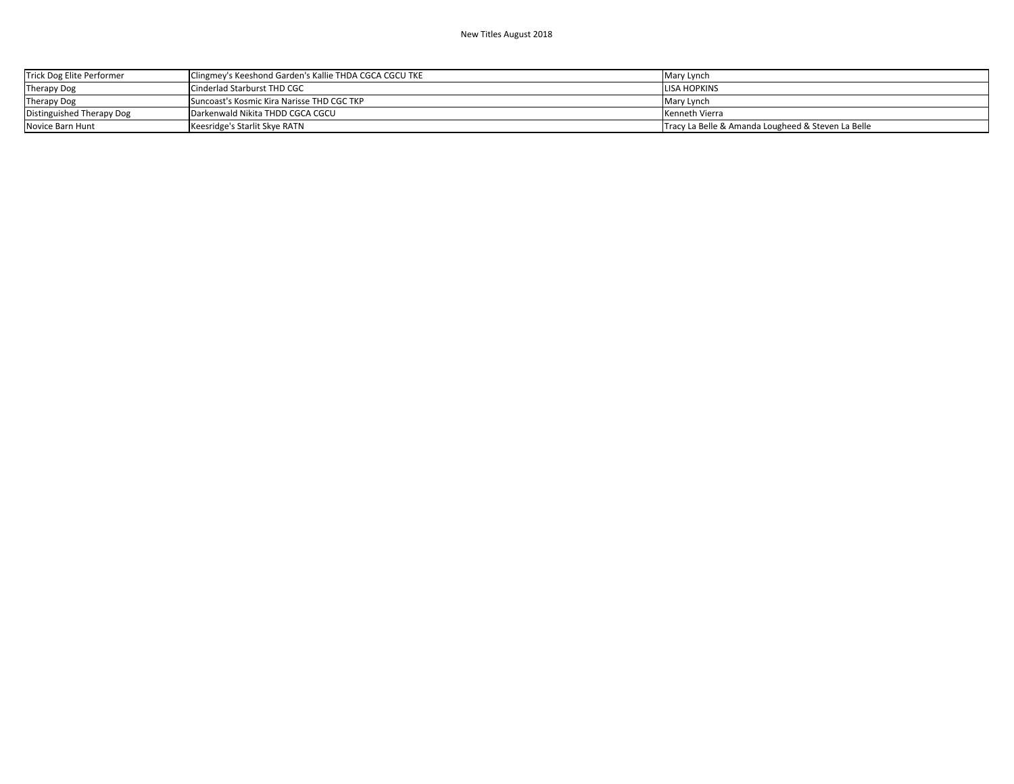| Trick Dog Elite Performer | Clingmey's Keeshond Garden's Kallie THDA CGCA CGCU TKE | Mary Lynch                                         |
|---------------------------|--------------------------------------------------------|----------------------------------------------------|
| <b>Therapy Dog</b>        | <b>Cinderlad Starburst THD CGC</b>                     | LISA HOPKINS                                       |
| Therapy Dog               | Suncoast's Kosmic Kira Narisse THD CGC TKP             | Mary Lynch                                         |
| Distinguished Therapy Dog | Darkenwald Nikita THDD CGCA CGCU                       | Kenneth Vierra                                     |
| Novice Barn Hunt          | Keesridge's Starlit Skye RATN                          | Tracy La Belle & Amanda Lougheed & Steven La Belle |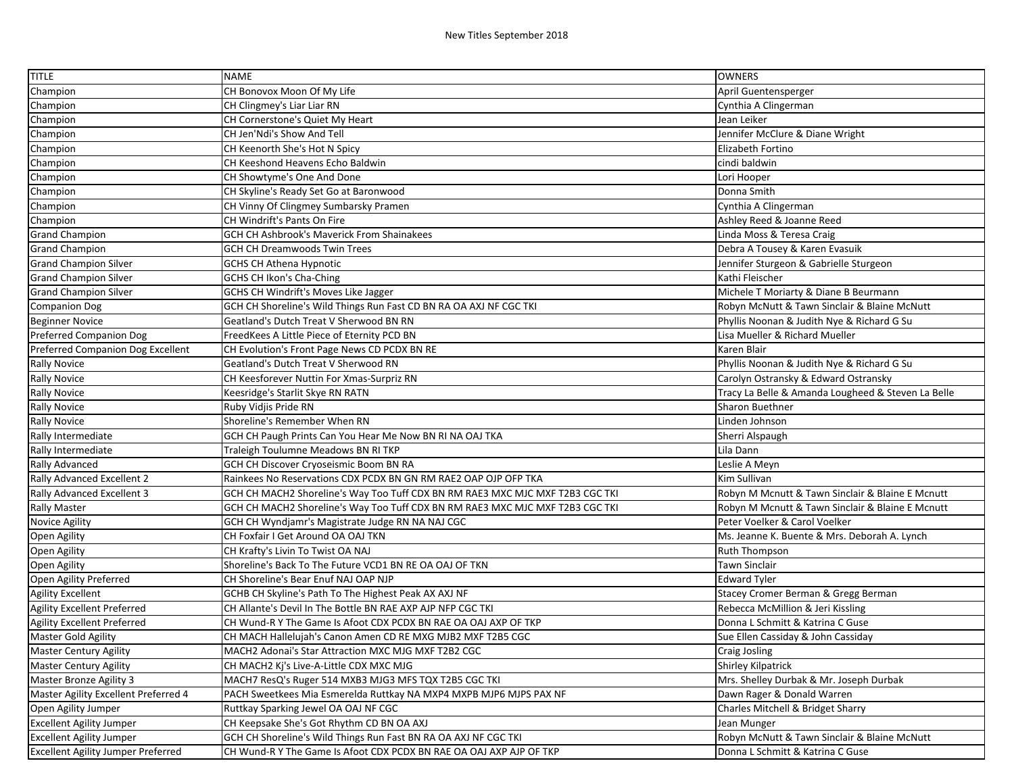| <b>TITLE</b>                              | <b>NAME</b>                                                                   | <b>OWNERS</b>                                      |
|-------------------------------------------|-------------------------------------------------------------------------------|----------------------------------------------------|
| Champion                                  | CH Bonovox Moon Of My Life                                                    | April Guentensperger                               |
| Champion                                  | CH Clingmey's Liar Liar RN                                                    | Cynthia A Clingerman                               |
| Champion                                  | CH Cornerstone's Quiet My Heart                                               | Jean Leiker                                        |
| Champion                                  | CH Jen'Ndi's Show And Tell                                                    | Jennifer McClure & Diane Wright                    |
| Champion                                  | CH Keenorth She's Hot N Spicy                                                 | Elizabeth Fortino                                  |
| Champion                                  | CH Keeshond Heavens Echo Baldwin                                              | cindi baldwin                                      |
| Champion                                  | CH Showtyme's One And Done                                                    | Lori Hooper                                        |
| Champion                                  | CH Skyline's Ready Set Go at Baronwood                                        | Donna Smith                                        |
| Champion                                  | CH Vinny Of Clingmey Sumbarsky Pramen                                         | Cynthia A Clingerman                               |
| Champion                                  | CH Windrift's Pants On Fire                                                   | Ashley Reed & Joanne Reed                          |
| <b>Grand Champion</b>                     | <b>GCH CH Ashbrook's Maverick From Shainakees</b>                             | Linda Moss & Teresa Craig                          |
| <b>Grand Champion</b>                     | <b>GCH CH Dreamwoods Twin Trees</b>                                           | Debra A Tousey & Karen Evasuik                     |
| <b>Grand Champion Silver</b>              | <b>GCHS CH Athena Hypnotic</b>                                                | Jennifer Sturgeon & Gabrielle Sturgeon             |
| <b>Grand Champion Silver</b>              | GCHS CH Ikon's Cha-Ching                                                      | Kathi Fleischer                                    |
| <b>Grand Champion Silver</b>              | GCHS CH Windrift's Moves Like Jagger                                          | Michele T Moriarty & Diane B Beurmann              |
| <b>Companion Dog</b>                      | GCH CH Shoreline's Wild Things Run Fast CD BN RA OA AXJ NF CGC TKI            | Robyn McNutt & Tawn Sinclair & Blaine McNutt       |
| <b>Beginner Novice</b>                    | Geatland's Dutch Treat V Sherwood BN RN                                       | Phyllis Noonan & Judith Nye & Richard G Su         |
| Preferred Companion Dog                   | FreedKees A Little Piece of Eternity PCD BN                                   | Lisa Mueller & Richard Mueller                     |
| Preferred Companion Dog Excellent         | CH Evolution's Front Page News CD PCDX BN RE                                  | Karen Blair                                        |
| <b>Rally Novice</b>                       | Geatland's Dutch Treat V Sherwood RN                                          | Phyllis Noonan & Judith Nye & Richard G Su         |
| <b>Rally Novice</b>                       | CH Keesforever Nuttin For Xmas-Surpriz RN                                     | Carolyn Ostransky & Edward Ostransky               |
| <b>Rally Novice</b>                       | Keesridge's Starlit Skye RN RATN                                              | Tracy La Belle & Amanda Lougheed & Steven La Belle |
| <b>Rally Novice</b>                       | Ruby Vidjis Pride RN                                                          | Sharon Buethner                                    |
| <b>Rally Novice</b>                       | Shoreline's Remember When RN                                                  | Linden Johnson                                     |
| Rally Intermediate                        | GCH CH Paugh Prints Can You Hear Me Now BN RI NA OAJ TKA                      | Sherri Alspaugh                                    |
| Rally Intermediate                        | Traleigh Toulumne Meadows BN RI TKP                                           | Lila Dann                                          |
| <b>Rally Advanced</b>                     | GCH CH Discover Cryoseismic Boom BN RA                                        | Leslie A Meyn                                      |
| Rally Advanced Excellent 2                | Rainkees No Reservations CDX PCDX BN GN RM RAE2 OAP OJP OFP TKA               | Kim Sullivan                                       |
| Rally Advanced Excellent 3                | GCH CH MACH2 Shoreline's Way Too Tuff CDX BN RM RAE3 MXC MJC MXF T2B3 CGC TKI | Robyn M Mcnutt & Tawn Sinclair & Blaine E Mcnutt   |
| <b>Rally Master</b>                       | GCH CH MACH2 Shoreline's Way Too Tuff CDX BN RM RAE3 MXC MJC MXF T2B3 CGC TKI | Robyn M Mcnutt & Tawn Sinclair & Blaine E Mcnutt   |
| Novice Agility                            | GCH CH Wyndjamr's Magistrate Judge RN NA NAJ CGC                              | Peter Voelker & Carol Voelker                      |
| Open Agility                              | CH Foxfair I Get Around OA OAJ TKN                                            | Ms. Jeanne K. Buente & Mrs. Deborah A. Lynch       |
| Open Agility                              | CH Krafty's Livin To Twist OA NAJ                                             | Ruth Thompson                                      |
| Open Agility                              | Shoreline's Back To The Future VCD1 BN RE OA OAJ OF TKN                       | <b>Tawn Sinclair</b>                               |
| Open Agility Preferred                    | CH Shoreline's Bear Enuf NAJ OAP NJP                                          | <b>Edward Tyler</b>                                |
| <b>Agility Excellent</b>                  | GCHB CH Skyline's Path To The Highest Peak AX AXJ NF                          | Stacey Cromer Berman & Gregg Berman                |
| <b>Agility Excellent Preferred</b>        | CH Allante's Devil In The Bottle BN RAE AXP AJP NFP CGC TKI                   | Rebecca McMillion & Jeri Kissling                  |
| <b>Agility Excellent Preferred</b>        | CH Wund-R Y The Game Is Afoot CDX PCDX BN RAE OA OAJ AXP OF TKP               | Donna L Schmitt & Katrina C Guse                   |
| <b>Master Gold Agility</b>                | CH MACH Hallelujah's Canon Amen CD RE MXG MJB2 MXF T2B5 CGC                   | Sue Ellen Cassiday & John Cassiday                 |
| <b>Master Century Agility</b>             | MACH2 Adonai's Star Attraction MXC MJG MXF T2B2 CGC                           | Craig Josling                                      |
| <b>Master Century Agility</b>             | CH MACH2 Kj's Live-A-Little CDX MXC MJG                                       | <b>Shirley Kilpatrick</b>                          |
| <b>Master Bronze Agility 3</b>            | MACH7 ResQ's Ruger 514 MXB3 MJG3 MFS TQX T2B5 CGC TKI                         | Mrs. Shelley Durbak & Mr. Joseph Durbak            |
| Master Agility Excellent Preferred 4      | PACH Sweetkees Mia Esmerelda Ruttkay NA MXP4 MXPB MJP6 MJPS PAX NF            | Dawn Rager & Donald Warren                         |
| Open Agility Jumper                       | Ruttkay Sparking Jewel OA OAJ NF CGC                                          | Charles Mitchell & Bridget Sharry                  |
| <b>Excellent Agility Jumper</b>           | CH Keepsake She's Got Rhythm CD BN OA AXJ                                     | Jean Munger                                        |
| <b>Excellent Agility Jumper</b>           | GCH CH Shoreline's Wild Things Run Fast BN RA OA AXJ NF CGC TKI               | Robyn McNutt & Tawn Sinclair & Blaine McNutt       |
| <b>Excellent Agility Jumper Preferred</b> | CH Wund-R Y The Game Is Afoot CDX PCDX BN RAE OA OAJ AXP AJP OF TKP           | Donna L Schmitt & Katrina C Guse                   |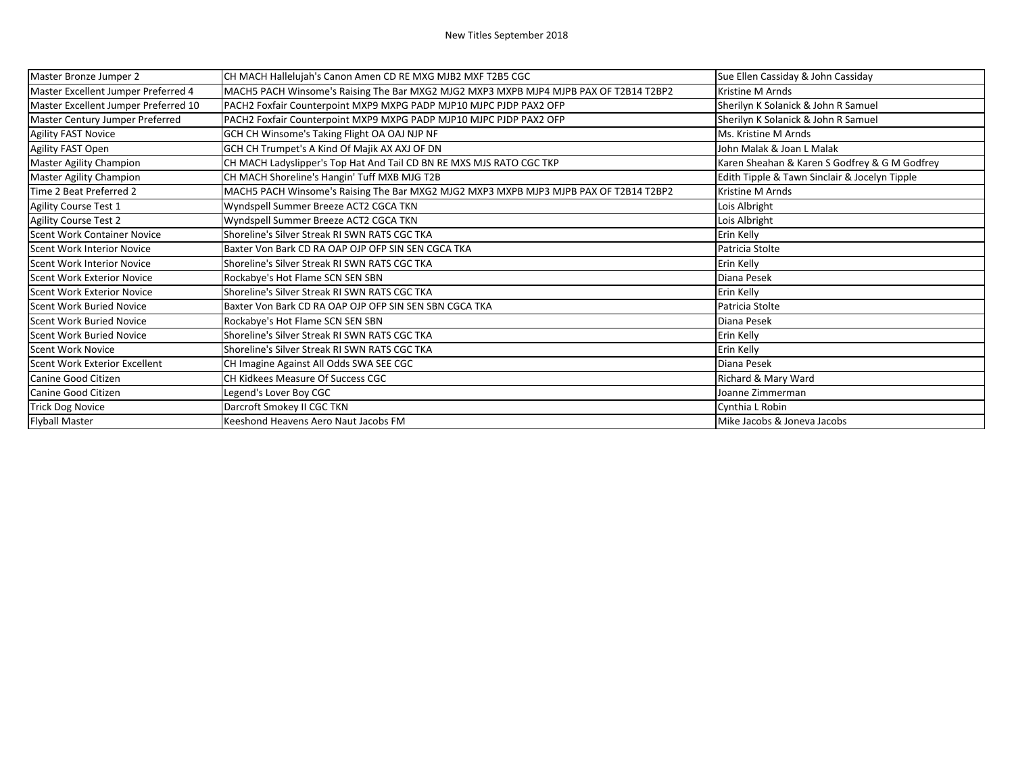| Master Bronze Jumper 2               | CH MACH Hallelujah's Canon Amen CD RE MXG MJB2 MXF T2B5 CGC                           | Sue Ellen Cassiday & John Cassiday            |
|--------------------------------------|---------------------------------------------------------------------------------------|-----------------------------------------------|
| Master Excellent Jumper Preferred 4  | MACH5 PACH Winsome's Raising The Bar MXG2 MJG2 MXP3 MXPB MJP4 MJPB PAX OF T2B14 T2BP2 | Kristine M Arnds                              |
| Master Excellent Jumper Preferred 10 | PACH2 Foxfair Counterpoint MXP9 MXPG PADP MJP10 MJPC PJDP PAX2 OFP                    | Sherilyn K Solanick & John R Samuel           |
| Master Century Jumper Preferred      | PACH2 Foxfair Counterpoint MXP9 MXPG PADP MJP10 MJPC PJDP PAX2 OFP                    | Sherilyn K Solanick & John R Samuel           |
| Agility FAST Novice                  | GCH CH Winsome's Taking Flight OA OAJ NJP NF                                          | Ms. Kristine M Arnds                          |
| Agility FAST Open                    | GCH CH Trumpet's A Kind Of Majik AX AXJ OF DN                                         | John Malak & Joan L Malak                     |
| <b>Master Agility Champion</b>       | CH MACH Ladyslipper's Top Hat And Tail CD BN RE MXS MJS RATO CGC TKP                  | Karen Sheahan & Karen S Godfrey & G M Godfrey |
| <b>Master Agility Champion</b>       | CH MACH Shoreline's Hangin' Tuff MXB MJG T2B                                          | Edith Tipple & Tawn Sinclair & Jocelyn Tipple |
| Time 2 Beat Preferred 2              | MACH5 PACH Winsome's Raising The Bar MXG2 MJG2 MXP3 MXPB MJP3 MJPB PAX OF T2B14 T2BP2 | Kristine M Arnds                              |
| Agility Course Test 1                | Wyndspell Summer Breeze ACT2 CGCA TKN                                                 | Lois Albright                                 |
| <b>Agility Course Test 2</b>         | Wyndspell Summer Breeze ACT2 CGCA TKN                                                 | Lois Albright                                 |
| Scent Work Container Novice          | Shoreline's Silver Streak RI SWN RATS CGC TKA                                         | Erin Kelly                                    |
| Scent Work Interior Novice           | Baxter Von Bark CD RA OAP OJP OFP SIN SEN CGCA TKA                                    | Patricia Stolte                               |
| Scent Work Interior Novice           | Shoreline's Silver Streak RI SWN RATS CGC TKA                                         | Erin Kelly                                    |
| <b>Scent Work Exterior Novice</b>    | Rockabye's Hot Flame SCN SEN SBN                                                      | Diana Pesek                                   |
| Scent Work Exterior Novice           | Shoreline's Silver Streak RI SWN RATS CGC TKA                                         | Erin Kelly                                    |
| <b>Scent Work Buried Novice</b>      | Baxter Von Bark CD RA OAP OJP OFP SIN SEN SBN CGCA TKA                                | Patricia Stolte                               |
| <b>Scent Work Buried Novice</b>      | Rockabye's Hot Flame SCN SEN SBN                                                      | Diana Pesek                                   |
| <b>Scent Work Buried Novice</b>      | Shoreline's Silver Streak RI SWN RATS CGC TKA                                         | Erin Kelly                                    |
| <b>Scent Work Novice</b>             | Shoreline's Silver Streak RI SWN RATS CGC TKA                                         | Erin Kelly                                    |
| Scent Work Exterior Excellent        | CH Imagine Against All Odds SWA SEE CGC                                               | Diana Pesek                                   |
| Canine Good Citizen                  | CH Kidkees Measure Of Success CGC                                                     | Richard & Mary Ward                           |
| Canine Good Citizen                  | Legend's Lover Boy CGC                                                                | Joanne Zimmerman                              |
| <b>Trick Dog Novice</b>              | Darcroft Smokey II CGC TKN                                                            | Cynthia L Robin                               |
| <b>Flyball Master</b>                | Keeshond Heavens Aero Naut Jacobs FM                                                  | Mike Jacobs & Joneva Jacobs                   |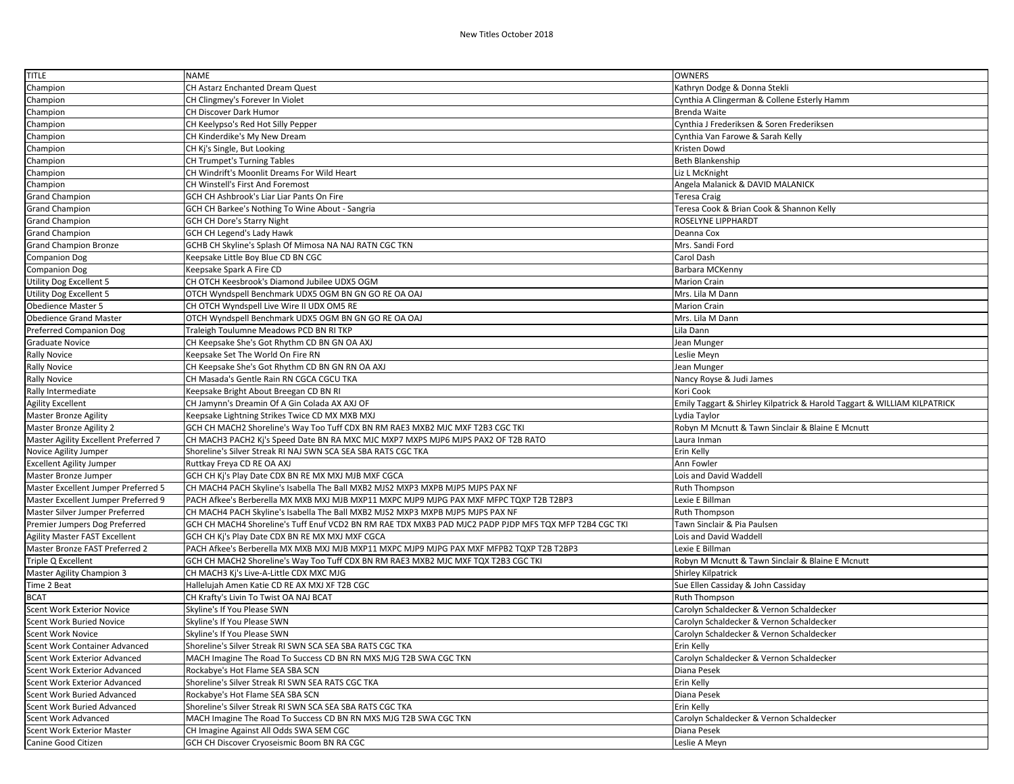| <b>TITLE</b>                                                  | <b>NAME</b>                                                                                                                    | <b>OWNERS</b>                                                            |
|---------------------------------------------------------------|--------------------------------------------------------------------------------------------------------------------------------|--------------------------------------------------------------------------|
| Champion                                                      | CH Astarz Enchanted Dream Quest                                                                                                | Kathryn Dodge & Donna Stekli                                             |
| Champion                                                      | CH Clingmey's Forever In Violet                                                                                                | Cynthia A Clingerman & Collene Esterly Hamm                              |
| Champion                                                      | CH Discover Dark Humor                                                                                                         | Brenda Waite                                                             |
| Champion                                                      | CH Keelypso's Red Hot Silly Pepper                                                                                             | Cynthia J Frederiksen & Soren Frederiksen                                |
| Champion                                                      | CH Kinderdike's My New Dream                                                                                                   | Cynthia Van Farowe & Sarah Kelly                                         |
| Champion                                                      | CH Kj's Single, But Looking                                                                                                    | Kristen Dowd                                                             |
| Champion                                                      | CH Trumpet's Turning Tables                                                                                                    | Beth Blankenship                                                         |
| Champion                                                      | CH Windrift's Moonlit Dreams For Wild Heart                                                                                    | Liz L McKnight                                                           |
| Champion                                                      | CH Winstell's First And Foremost                                                                                               | Angela Malanick & DAVID MALANICK                                         |
| <b>Grand Champion</b>                                         | GCH CH Ashbrook's Liar Liar Pants On Fire                                                                                      | Teresa Craig                                                             |
| <b>Grand Champion</b>                                         | GCH CH Barkee's Nothing To Wine About - Sangria                                                                                | Teresa Cook & Brian Cook & Shannon Kelly                                 |
| <b>Grand Champion</b>                                         | <b>GCH CH Dore's Starry Night</b>                                                                                              | ROSELYNE LIPPHARDT                                                       |
| <b>Grand Champion</b>                                         | <b>GCH CH Legend's Lady Hawk</b>                                                                                               | Deanna Cox                                                               |
| <b>Grand Champion Bronze</b>                                  | GCHB CH Skyline's Splash Of Mimosa NA NAJ RATN CGC TKN                                                                         | Mrs. Sandi Ford                                                          |
| <b>Companion Dog</b>                                          | Keepsake Little Boy Blue CD BN CGC                                                                                             | Carol Dash                                                               |
| <b>Companion Dog</b>                                          | Keepsake Spark A Fire CD                                                                                                       | Barbara MCKenny                                                          |
| Utility Dog Excellent 5                                       | CH OTCH Keesbrook's Diamond Jubilee UDX5 OGM                                                                                   | <b>Marion Crain</b>                                                      |
| Utility Dog Excellent 5                                       | OTCH Wyndspell Benchmark UDX5 OGM BN GN GO RE OA OAJ                                                                           | Mrs. Lila M Dann                                                         |
| <b>Obedience Master 5</b>                                     | CH OTCH Wyndspell Live Wire II UDX OM5 RE                                                                                      | <b>Marion Crain</b>                                                      |
| <b>Obedience Grand Master</b>                                 | OTCH Wyndspell Benchmark UDX5 OGM BN GN GO RE OA OAJ                                                                           | Mrs. Lila M Dann                                                         |
| Preferred Companion Dog                                       | Traleigh Toulumne Meadows PCD BN RI TKP                                                                                        | Lila Dann                                                                |
| <b>Graduate Novice</b>                                        | CH Keepsake She's Got Rhythm CD BN GN OA AXJ                                                                                   | Jean Munger                                                              |
| <b>Rally Novice</b>                                           | Keepsake Set The World On Fire RN                                                                                              | Leslie Meyn                                                              |
| <b>Rally Novice</b>                                           | CH Keepsake She's Got Rhythm CD BN GN RN OA AXJ                                                                                | Jean Munger                                                              |
| <b>Rally Novice</b>                                           | CH Masada's Gentle Rain RN CGCA CGCU TKA                                                                                       | Nancy Royse & Judi James                                                 |
| Rally Intermediate                                            | Keepsake Bright About Breegan CD BN RI                                                                                         | Kori Cook                                                                |
| <b>Agility Excellent</b>                                      | CH Jamynn's Dreamin Of A Gin Colada AX AXJ OF                                                                                  | Emily Taggart & Shirley Kilpatrick & Harold Taggart & WILLIAM KILPATRICK |
| <b>Master Bronze Agility</b>                                  | Keepsake Lightning Strikes Twice CD MX MXB MXJ                                                                                 | Lydia Taylor                                                             |
| Master Bronze Agility 2                                       | GCH CH MACH2 Shoreline's Way Too Tuff CDX BN RM RAE3 MXB2 MJC MXF T2B3 CGC TKI                                                 | Robyn M Mcnutt & Tawn Sinclair & Blaine E Mcnutt                         |
| Master Agility Excellent Preferred 7                          | CH MACH3 PACH2 Kj's Speed Date BN RA MXC MJC MXP7 MXPS MJP6 MJPS PAX2 OF T2B RATO                                              | Laura Inman                                                              |
| Novice Agility Jumper                                         | Shoreline's Silver Streak RI NAJ SWN SCA SEA SBA RATS CGC TKA                                                                  | Erin Kelly                                                               |
| <b>Excellent Agility Jumper</b>                               | Ruttkay Freya CD RE OA AXJ                                                                                                     | Ann Fowler                                                               |
| Master Bronze Jumper                                          | GCH CH Kj's Play Date CDX BN RE MX MXJ MJB MXF CGCA                                                                            | Lois and David Waddell                                                   |
| Master Excellent Jumper Preferred 5                           | CH MACH4 PACH Skyline's Isabella The Ball MXB2 MJS2 MXP3 MXPB MJP5 MJPS PAX NF                                                 | <b>Ruth Thompson</b>                                                     |
| Master Excellent Jumper Preferred 9                           | PACH Afkee's Berberella MX MXB MXJ MJB MXP11 MXPC MJP9 MJPG PAX MXF MFPC TQXP T2B T2BP3                                        | Lexie E Billman                                                          |
| Master Silver Jumper Preferred                                | CH MACH4 PACH Skyline's Isabella The Ball MXB2 MJS2 MXP3 MXPB MJP5 MJPS PAX NF                                                 | Ruth Thompson                                                            |
| Premier Jumpers Dog Preferred                                 | GCH CH MACH4 Shoreline's Tuff Enuf VCD2 BN RM RAE TDX MXB3 PAD MJC2 PADP PJDP MFS TQX MFP T2B4 CGC TKI                         | Tawn Sinclair & Pia Paulsen                                              |
| Agility Master FAST Excellent                                 | GCH CH Kj's Play Date CDX BN RE MX MXJ MXF CGCA                                                                                | Lois and David Waddell                                                   |
| Master Bronze FAST Preferred 2                                | PACH Afkee's Berberella MX MXB MXJ MJB MXP11 MXPC MJP9 MJPG PAX MXF MFPB2 TQXP T2B T2BP3                                       | Lexie E Billman                                                          |
| Triple Q Excellent                                            |                                                                                                                                |                                                                          |
| Master Agility Champion 3                                     |                                                                                                                                | Robyn M Mcnutt & Tawn Sinclair & Blaine E Mcnutt                         |
|                                                               | GCH CH MACH2 Shoreline's Way Too Tuff CDX BN RM RAE3 MXB2 MJC MXF TQX T2B3 CGC TKI<br>CH MACH3 Kj's Live-A-Little CDX MXC MJG  | Shirley Kilpatrick                                                       |
|                                                               |                                                                                                                                |                                                                          |
| Time 2 Beat<br><b>BCAT</b>                                    | Hallelujah Amen Katie CD RE AX MXJ XF T2B CGC<br>CH Krafty's Livin To Twist OA NAJ BCAT                                        | Sue Ellen Cassiday & John Cassiday<br>Ruth Thompson                      |
| Scent Work Exterior Novice                                    |                                                                                                                                | Carolyn Schaldecker & Vernon Schaldecker                                 |
| Scent Work Buried Novice                                      | Skyline's If You Please SWN<br>Skyline's If You Please SWN                                                                     | Carolyn Schaldecker & Vernon Schaldecker                                 |
|                                                               |                                                                                                                                | Carolyn Schaldecker & Vernon Schaldecker                                 |
| <b>Scent Work Novice</b>                                      | Skyline's If You Please SWN                                                                                                    |                                                                          |
| Scent Work Container Advanced<br>Scent Work Exterior Advanced | Shoreline's Silver Streak RI SWN SCA SEA SBA RATS CGC TKA<br>MACH Imagine The Road To Success CD BN RN MXS MJG T2B SWA CGC TKN | Erin Kelly<br>Carolyn Schaldecker & Vernon Schaldecker                   |
| Scent Work Exterior Advanced                                  | Rockabye's Hot Flame SEA SBA SCN                                                                                               | Diana Pesek                                                              |
| Scent Work Exterior Advanced                                  | Shoreline's Silver Streak RI SWN SEA RATS CGC TKA                                                                              |                                                                          |
| Scent Work Buried Advanced                                    | Rockabye's Hot Flame SEA SBA SCN                                                                                               | Erin Kelly<br>Diana Pesek                                                |
| Scent Work Buried Advanced                                    | Shoreline's Silver Streak RI SWN SCA SEA SBA RATS CGC TKA                                                                      | Erin Kelly                                                               |
|                                                               |                                                                                                                                |                                                                          |
| Scent Work Advanced<br><b>Scent Work Exterior Master</b>      | MACH Imagine The Road To Success CD BN RN MXS MJG T2B SWA CGC TKN<br>CH Imagine Against All Odds SWA SEM CGC                   | Carolyn Schaldecker & Vernon Schaldecker<br>Diana Pesek                  |
| Canine Good Citizen                                           | GCH CH Discover Cryoseismic Boom BN RA CGC                                                                                     | Leslie A Meyn                                                            |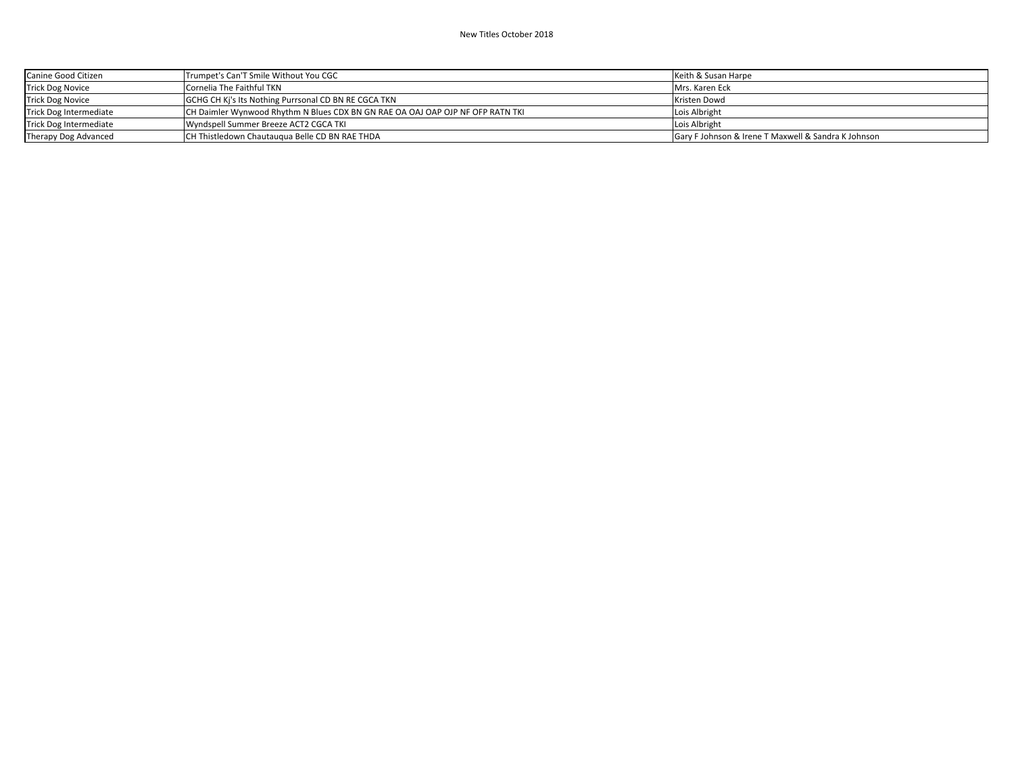| Canine Good Citizen     | Trumpet's Can'T Smile Without You CGC                                           | Keith & Susan Harpe                                 |
|-------------------------|---------------------------------------------------------------------------------|-----------------------------------------------------|
| <b>Trick Dog Novice</b> | Cornelia The Faithful TKN                                                       | Mrs. Karen Eck                                      |
| <b>Trick Dog Novice</b> | GCHG CH Ki's Its Nothing Purrsonal CD BN RE CGCA TKN                            | Kristen Dowd                                        |
| Trick Dog Intermediate  | ICH Daimler Wynwood Rhythm N Blues CDX BN GN RAE OA OAJ OAP OJP NF OFP RATN TKL | Lois Albright                                       |
| Trick Dog Intermediate  | Wyndspell Summer Breeze ACT2 CGCA TKI                                           | Lois Albright                                       |
| Therapy Dog Advanced    | CH Thistledown Chautaugua Belle CD BN RAE THDA                                  | Gary F Johnson & Irene T Maxwell & Sandra K Johnson |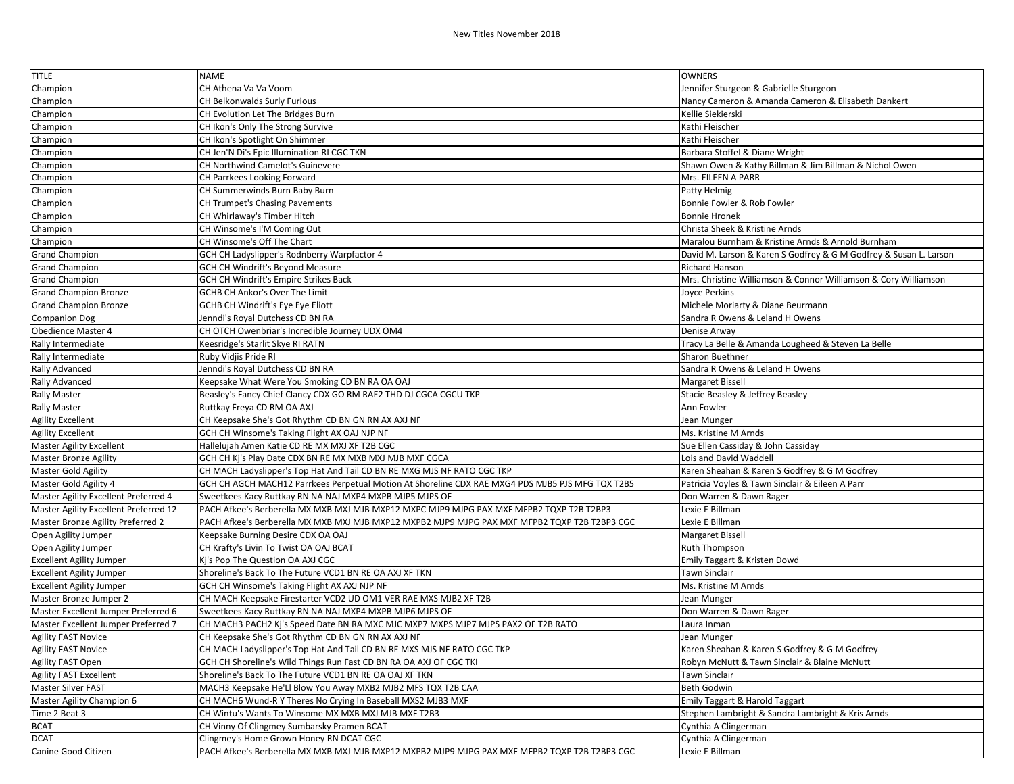| <b>TITLE</b>                          | <b>NAME</b>                                                                                      | <b>OWNERS</b>                                                     |
|---------------------------------------|--------------------------------------------------------------------------------------------------|-------------------------------------------------------------------|
| Champion                              | CH Athena Va Va Voom                                                                             | Jennifer Sturgeon & Gabrielle Sturgeon                            |
| Champion                              | CH Belkonwalds Surly Furious                                                                     | Nancy Cameron & Amanda Cameron & Elisabeth Dankert                |
| Champion                              | CH Evolution Let The Bridges Burn                                                                | Kellie Siekierski                                                 |
| Champion                              | CH Ikon's Only The Strong Survive                                                                | Kathi Fleischer                                                   |
| Champion                              | CH Ikon's Spotlight On Shimmer                                                                   | Kathi Fleischer                                                   |
| Champion                              | CH Jen'N Di's Epic Illumination RI CGC TKN                                                       | Barbara Stoffel & Diane Wright                                    |
| Champion                              | CH Northwind Camelot's Guinevere                                                                 | Shawn Owen & Kathy Billman & Jim Billman & Nichol Owen            |
| Champion                              | CH Parrkees Looking Forward                                                                      | Mrs. EILEEN A PARR                                                |
| Champion                              | CH Summerwinds Burn Baby Burn                                                                    | Patty Helmig                                                      |
| Champion                              | CH Trumpet's Chasing Pavements                                                                   | Bonnie Fowler & Rob Fowler                                        |
| Champion                              | CH Whirlaway's Timber Hitch                                                                      | <b>Bonnie Hronek</b>                                              |
| Champion                              | CH Winsome's I'M Coming Out                                                                      | Christa Sheek & Kristine Arnds                                    |
| Champion                              | CH Winsome's Off The Chart                                                                       | Maralou Burnham & Kristine Arnds & Arnold Burnham                 |
| <b>Grand Champion</b>                 | GCH CH Ladyslipper's Rodnberry Warpfactor 4                                                      | David M. Larson & Karen S Godfrey & G M Godfrey & Susan L. Larson |
| <b>Grand Champion</b>                 | GCH CH Windrift's Beyond Measure                                                                 | <b>Richard Hanson</b>                                             |
| <b>Grand Champion</b>                 | GCH CH Windrift's Empire Strikes Back                                                            | Mrs. Christine Williamson & Connor Williamson & Cory Williamson   |
| <b>Grand Champion Bronze</b>          | GCHB CH Ankor's Over The Limit                                                                   | Joyce Perkins                                                     |
| <b>Grand Champion Bronze</b>          | GCHB CH Windrift's Eye Eye Eliott                                                                | Michele Moriarty & Diane Beurmann                                 |
| <b>Companion Dog</b>                  | Jenndi's Royal Dutchess CD BN RA                                                                 | Sandra R Owens & Leland H Owens                                   |
| <b>Obedience Master 4</b>             | CH OTCH Owenbriar's Incredible Journey UDX OM4                                                   | Denise Arway                                                      |
| Rally Intermediate                    | Keesridge's Starlit Skye RI RATN                                                                 | Tracy La Belle & Amanda Lougheed & Steven La Belle                |
| Rally Intermediate                    | Ruby Vidjis Pride RI                                                                             | Sharon Buethner                                                   |
| Rally Advanced                        | Jenndi's Royal Dutchess CD BN RA                                                                 | Sandra R Owens & Leland H Owens                                   |
| Rally Advanced                        | Keepsake What Were You Smoking CD BN RA OA OAJ                                                   | <b>Margaret Bissell</b>                                           |
| <b>Rally Master</b>                   | Beasley's Fancy Chief Clancy CDX GO RM RAE2 THD DJ CGCA CGCU TKP                                 | Stacie Beasley & Jeffrey Beasley                                  |
| <b>Rally Master</b>                   | Ruttkay Freya CD RM OA AXJ                                                                       | Ann Fowler                                                        |
| <b>Agility Excellent</b>              | CH Keepsake She's Got Rhythm CD BN GN RN AX AXJ NF                                               | Jean Munger                                                       |
| <b>Agility Excellent</b>              | GCH CH Winsome's Taking Flight AX OAJ NJP NF                                                     | Ms. Kristine M Arnds                                              |
| <b>Master Agility Excellent</b>       | Hallelujah Amen Katie CD RE MX MXJ XF T2B CGC                                                    | Sue Ellen Cassiday & John Cassiday                                |
| <b>Master Bronze Agility</b>          | GCH CH Kj's Play Date CDX BN RE MX MXB MXJ MJB MXF CGCA                                          | Lois and David Waddell                                            |
| <b>Master Gold Agility</b>            | CH MACH Ladyslipper's Top Hat And Tail CD BN RE MXG MJS NF RATO CGC TKP                          | Karen Sheahan & Karen S Godfrey & G M Godfrey                     |
| Master Gold Agility 4                 | GCH CH AGCH MACH12 Parrkees Perpetual Motion At Shoreline CDX RAE MXG4 PDS MJB5 PJS MFG TQX T2B5 | Patricia Voyles & Tawn Sinclair & Eileen A Parr                   |
| Master Agility Excellent Preferred 4  | Sweetkees Kacy Ruttkay RN NA NAJ MXP4 MXPB MJP5 MJPS OF                                          | Don Warren & Dawn Rager                                           |
| Master Agility Excellent Preferred 12 | PACH Afkee's Berberella MX MXB MXJ MJB MXP12 MXPC MJP9 MJPG PAX MXF MFPB2 TQXP T2B T2BP3         | Lexie E Billman                                                   |
| Master Bronze Agility Preferred 2     | PACH Afkee's Berberella MX MXB MXJ MJB MXP12 MXPB2 MJP9 MJPG PAX MXF MFPB2 TQXP T2B T2BP3 CGC    | Lexie E Billman                                                   |
| Open Agility Jumper                   | Keepsake Burning Desire CDX OA OAJ                                                               | <b>Margaret Bissell</b>                                           |
| Open Agility Jumper                   | CH Krafty's Livin To Twist OA OAJ BCAT                                                           | Ruth Thompson                                                     |
| <b>Excellent Agility Jumper</b>       | Kj's Pop The Question OA AXJ CGC                                                                 | Emily Taggart & Kristen Dowd                                      |
| <b>Excellent Agility Jumper</b>       | Shoreline's Back To The Future VCD1 BN RE OA AXJ XF TKN                                          | Tawn Sinclair                                                     |
| <b>Excellent Agility Jumper</b>       | GCH CH Winsome's Taking Flight AX AXJ NJP NF                                                     | Ms. Kristine M Arnds                                              |
| Master Bronze Jumper 2                | CH MACH Keepsake Firestarter VCD2 UD OM1 VER RAE MXS MJB2 XF T2B                                 | Jean Munger                                                       |
| Master Excellent Jumper Preferred 6   | Sweetkees Kacy Ruttkay RN NA NAJ MXP4 MXPB MJP6 MJPS OF                                          | Don Warren & Dawn Rager                                           |
| Master Excellent Jumper Preferred 7   | CH MACH3 PACH2 Kj's Speed Date BN RA MXC MJC MXP7 MXPS MJP7 MJPS PAX2 OF T2B RATO                | Laura Inman                                                       |
| <b>Agility FAST Novice</b>            | CH Keepsake She's Got Rhythm CD BN GN RN AX AXJ NF                                               | Jean Munger                                                       |
| <b>Agility FAST Novice</b>            | CH MACH Ladyslipper's Top Hat And Tail CD BN RE MXS MJS NF RATO CGC TKP                          | Karen Sheahan & Karen S Godfrey & G M Godfrey                     |
| Agility FAST Open                     | GCH CH Shoreline's Wild Things Run Fast CD BN RA OA AXJ OF CGC TKI                               | Robyn McNutt & Tawn Sinclair & Blaine McNutt                      |
| <b>Agility FAST Excellent</b>         | Shoreline's Back To The Future VCD1 BN RE OA OAJ XF TKN                                          | Tawn Sinclair                                                     |
| Master Silver FAST                    | MACH3 Keepsake He'Ll Blow You Away MXB2 MJB2 MFS TQX T2B CAA                                     | Beth Godwin                                                       |
| Master Agility Champion 6             | CH MACH6 Wund-R Y Theres No Crying In Baseball MXS2 MJB3 MXF                                     | Emily Taggart & Harold Taggart                                    |
| Time 2 Beat 3                         | CH Wintu's Wants To Winsome MX MXB MXJ MJB MXF T2B3                                              | Stephen Lambright & Sandra Lambright & Kris Arnds                 |
| <b>BCAT</b>                           | CH Vinny Of Clingmey Sumbarsky Pramen BCAT                                                       | Cynthia A Clingerman                                              |
| <b>DCAT</b>                           | Clingmey's Home Grown Honey RN DCAT CGC                                                          | Cynthia A Clingerman                                              |
| Canine Good Citizen                   | PACH Afkee's Berberella MX MXB MXJ MJB MXP12 MXPB2 MJP9 MJPG PAX MXF MFPB2 TQXP T2B T2BP3 CGC    | Lexie E Billman                                                   |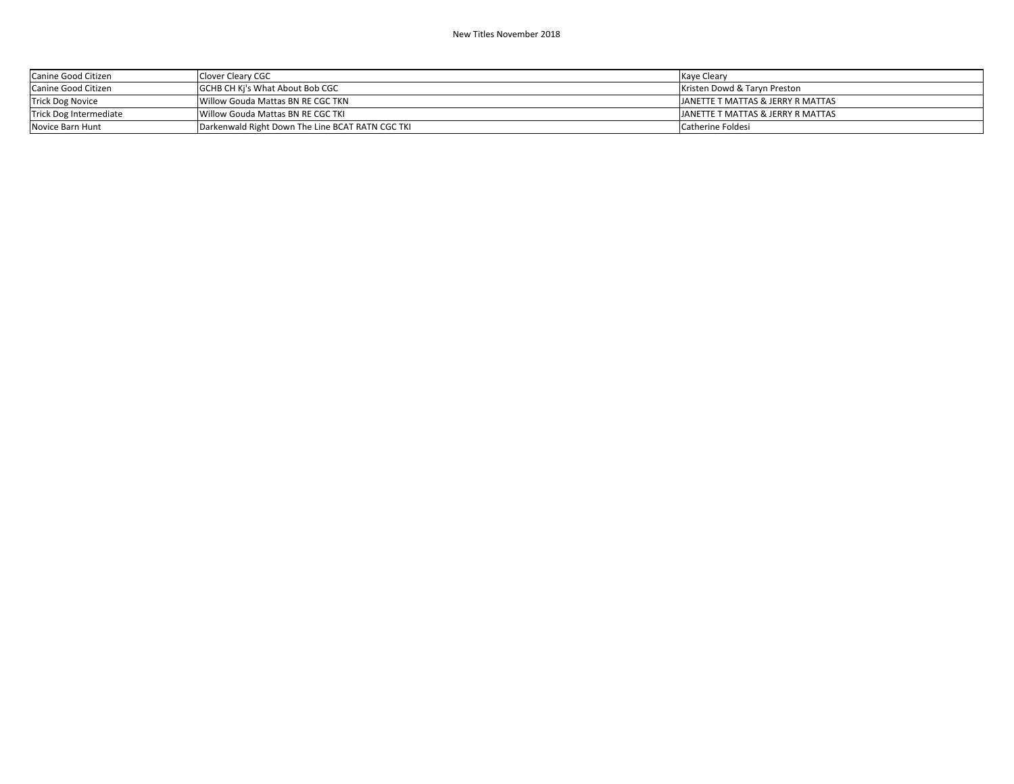| Canine Good Citizen     | Clover Cleary CGC                                | Kaye Cleary                        |
|-------------------------|--------------------------------------------------|------------------------------------|
| Canine Good Citizen     | GCHB CH Ki's What About Bob CGC                  | Kristen Dowd & Taryn Preston       |
| <b>Trick Dog Novice</b> | Willow Gouda Mattas BN RE CGC TKN                | LIANETTE T MATTAS & JERRY R MATTAS |
| Trick Dog Intermediate  | Willow Gouda Mattas BN RE CGC TKI                | JANETTE T MATTAS & JERRY R MATTAS  |
| Novice Barn Hunt        | Darkenwald Right Down The Line BCAT RATN CGC TKI | Catherine Foldesi                  |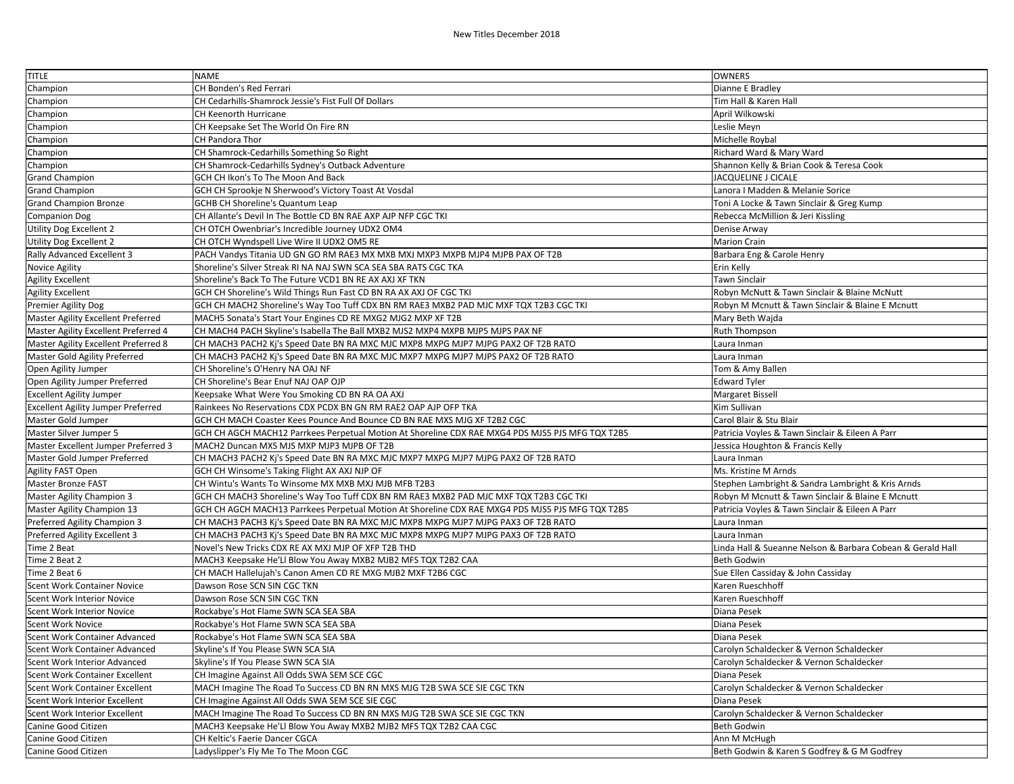| <b>TITLE</b>                                                          | <b>NAME</b>                                                                                      | <b>OWNERS</b>                                              |
|-----------------------------------------------------------------------|--------------------------------------------------------------------------------------------------|------------------------------------------------------------|
| Champion                                                              | <b>CH Bonden's Red Ferrari</b>                                                                   | Dianne E Bradley                                           |
| Champion                                                              | CH Cedarhills-Shamrock Jessie's Fist Full Of Dollars                                             | Tim Hall & Karen Hall                                      |
| Champion                                                              | CH Keenorth Hurricane                                                                            | April Wilkowski                                            |
| Champion                                                              | CH Keepsake Set The World On Fire RN                                                             | Leslie Meyn                                                |
| Champion                                                              | CH Pandora Thor                                                                                  | Michelle Roybal                                            |
| Champion                                                              | CH Shamrock-Cedarhills Something So Right                                                        | Richard Ward & Mary Ward                                   |
| Champion                                                              | CH Shamrock-Cedarhills Sydney's Outback Adventure                                                | Shannon Kelly & Brian Cook & Teresa Cook                   |
| <b>Grand Champion</b>                                                 | GCH CH Ikon's To The Moon And Back                                                               | JACQUELINE J CICALE                                        |
| Grand Champion                                                        | GCH CH Sprookje N Sherwood's Victory Toast At Vosdal                                             | Lanora I Madden & Melanie Sorice                           |
| <b>Grand Champion Bronze</b>                                          | <b>GCHB CH Shoreline's Quantum Leap</b>                                                          | Toni A Locke & Tawn Sinclair & Greg Kump                   |
| Companion Dog                                                         | CH Allante's Devil In The Bottle CD BN RAE AXP AJP NFP CGC TKI                                   | Rebecca McMillion & Jeri Kissling                          |
| Utility Dog Excellent 2                                               | CH OTCH Owenbriar's Incredible Journey UDX2 OM4                                                  | Denise Arway                                               |
| Utility Dog Excellent 2                                               | CH OTCH Wyndspell Live Wire II UDX2 OM5 RE                                                       | <b>Marion Crain</b>                                        |
| Rally Advanced Excellent 3                                            | PACH Vandys Titania UD GN GO RM RAE3 MX MXB MXJ MXP3 MXPB MJP4 MJPB PAX OF T2B                   | Barbara Eng & Carole Henry                                 |
| Novice Agility                                                        | Shoreline's Silver Streak RI NA NAJ SWN SCA SEA SBA RATS CGC TKA                                 | Erin Kelly                                                 |
| <b>Agility Excellent</b>                                              | Shoreline's Back To The Future VCD1 BN RE AX AXJ XF TKN                                          | <b>Tawn Sinclair</b>                                       |
| <b>Agility Excellent</b>                                              | GCH CH Shoreline's Wild Things Run Fast CD BN RA AX AXJ OF CGC TKI                               | Robyn McNutt & Tawn Sinclair & Blaine McNutt               |
| Premier Agility Dog                                                   | GCH CH MACH2 Shoreline's Way Too Tuff CDX BN RM RAE3 MXB2 PAD MJC MXF TQX T2B3 CGC TKI           | Robyn M Mcnutt & Tawn Sinclair & Blaine E Mcnutt           |
| Master Agility Excellent Preferred                                    | MACH5 Sonata's Start Your Engines CD RE MXG2 MJG2 MXP XF T2B                                     | Mary Beth Wajda                                            |
| Master Agility Excellent Preferred 4                                  | CH MACH4 PACH Skyline's Isabella The Ball MXB2 MJS2 MXP4 MXPB MJP5 MJPS PAX NF                   | <b>Ruth Thompson</b>                                       |
|                                                                       | CH MACH3 PACH2 Kj's Speed Date BN RA MXC MJC MXP8 MXPG MJP7 MJPG PAX2 OF T2B RATO                | Laura Inman                                                |
| Master Agility Excellent Preferred 8<br>Master Gold Agility Preferred | CH MACH3 PACH2 Ki's Speed Date BN RA MXC MJC MXP7 MXPG MJP7 MJPS PAX2 OF T2B RATO                | Laura Inman                                                |
| Open Agility Jumper                                                   |                                                                                                  |                                                            |
| Open Agility Jumper Preferred                                         | CH Shoreline's O'Henry NA OAJ NF<br>CH Shoreline's Bear Enuf NAJ OAP OJP                         | Tom & Amy Ballen<br><b>Edward Tyler</b>                    |
|                                                                       |                                                                                                  | <b>Margaret Bissell</b>                                    |
| <b>Excellent Agility Jumper</b>                                       | Keepsake What Were You Smoking CD BN RA OA AXJ                                                   |                                                            |
| Excellent Agility Jumper Preferred                                    | Rainkees No Reservations CDX PCDX BN GN RM RAE2 OAP AJP OFP TKA                                  | Kim Sullivan                                               |
| Master Gold Jumper                                                    | GCH CH MACH Coaster Kees Pounce And Bounce CD BN RAE MXS MJG XF T2B2 CGC                         | Carol Blair & Stu Blair                                    |
| Master Silver Jumper 5                                                | GCH CH AGCH MACH12 Parrkees Perpetual Motion At Shoreline CDX RAE MXG4 PDS MJS5 PJS MFG TQX T2B5 | Patricia Voyles & Tawn Sinclair & Eileen A Parr            |
| Master Excellent Jumper Preferred 3                                   | MACH2 Duncan MXS MJS MXP MJP3 MJPB OF T2B                                                        | Jessica Houghton & Francis Kelly                           |
| Master Gold Jumper Preferred                                          | CH MACH3 PACH2 Kj's Speed Date BN RA MXC MJC MXP7 MXPG MJP7 MJPG PAX2 OF T2B RATO                | Laura Inman                                                |
| Agility FAST Open                                                     | GCH CH Winsome's Taking Flight AX AXJ NJP OF                                                     | Ms. Kristine M Arnds                                       |
| Master Bronze FAST                                                    | CH Wintu's Wants To Winsome MX MXB MXJ MJB MFB T2B3                                              | Stephen Lambright & Sandra Lambright & Kris Arnds          |
| Master Agility Champion 3                                             | GCH CH MACH3 Shoreline's Way Too Tuff CDX BN RM RAE3 MXB2 PAD MJC MXF TQX T2B3 CGC TKI           | Robyn M Mcnutt & Tawn Sinclair & Blaine E Mcnutt           |
| Master Agility Champion 13                                            | GCH CH AGCH MACH13 Parrkees Perpetual Motion At Shoreline CDX RAE MXG4 PDS MJS5 PJS MFG TQX T2B5 | Patricia Voyles & Tawn Sinclair & Eileen A Parr            |
| Preferred Agility Champion 3                                          | CH MACH3 PACH3 Kj's Speed Date BN RA MXC MJC MXP8 MXPG MJP7 MJPG PAX3 OF T2B RATO                | Laura Inman                                                |
| Preferred Agility Excellent 3                                         | CH MACH3 PACH3 Kj's Speed Date BN RA MXC MJC MXP8 MXPG MJP7 MJPG PAX3 OF T2B RATO                | Laura Inman                                                |
| Time 2 Beat                                                           | Novel's New Tricks CDX RE AX MXJ MJP OF XFP T2B THD                                              | Linda Hall & Sueanne Nelson & Barbara Cobean & Gerald Hall |
| Time 2 Beat 2                                                         | MACH3 Keepsake He'Ll Blow You Away MXB2 MJB2 MFS TQX T2B2 CAA                                    | <b>Beth Godwin</b>                                         |
| Time 2 Beat 6                                                         | CH MACH Hallelujah's Canon Amen CD RE MXG MJB2 MXF T2B6 CGC                                      | Sue Ellen Cassiday & John Cassiday                         |
| Scent Work Container Novice                                           | Dawson Rose SCN SIN CGC TKN                                                                      | Karen Rueschhoff                                           |
| <b>Scent Work Interior Novice</b>                                     | Dawson Rose SCN SIN CGC TKN                                                                      | Karen Rueschhoff                                           |
| Scent Work Interior Novice                                            | Rockabye's Hot Flame SWN SCA SEA SBA                                                             | Diana Pesek                                                |
| <b>Scent Work Novice</b>                                              | Rockabye's Hot Flame SWN SCA SEA SBA                                                             | Diana Pesek                                                |
| Scent Work Container Advanced                                         | Rockabye's Hot Flame SWN SCA SEA SBA                                                             | Diana Pesek                                                |
| Scent Work Container Advanced                                         | Skyline's If You Please SWN SCA SIA                                                              | Carolyn Schaldecker & Vernon Schaldecker                   |
| Scent Work Interior Advanced                                          | Skyline's If You Please SWN SCA SIA                                                              | Carolyn Schaldecker & Vernon Schaldecker                   |
| Scent Work Container Excellent                                        | CH Imagine Against All Odds SWA SEM SCE CGC                                                      | Diana Pesek                                                |
| Scent Work Container Excellent                                        | MACH Imagine The Road To Success CD BN RN MXS MJG T2B SWA SCE SIE CGC TKN                        | Carolyn Schaldecker & Vernon Schaldecker                   |
| Scent Work Interior Excellent                                         | CH Imagine Against All Odds SWA SEM SCE SIE CGC                                                  | Diana Pesek                                                |
| Scent Work Interior Excellent                                         | MACH Imagine The Road To Success CD BN RN MXS MJG T2B SWA SCE SIE CGC TKN                        | Carolyn Schaldecker & Vernon Schaldecker                   |
| Canine Good Citizen                                                   | MACH3 Keepsake He'Ll Blow You Away MXB2 MJB2 MFS TQX T2B2 CAA CGC                                | <b>Beth Godwin</b>                                         |
| Canine Good Citizen                                                   | CH Keltic's Faerie Dancer CGCA                                                                   | Ann M McHugh                                               |
| Canine Good Citizen                                                   | Ladyslipper's Fly Me To The Moon CGC                                                             | Beth Godwin & Karen S Godfrey & G M Godfrey                |